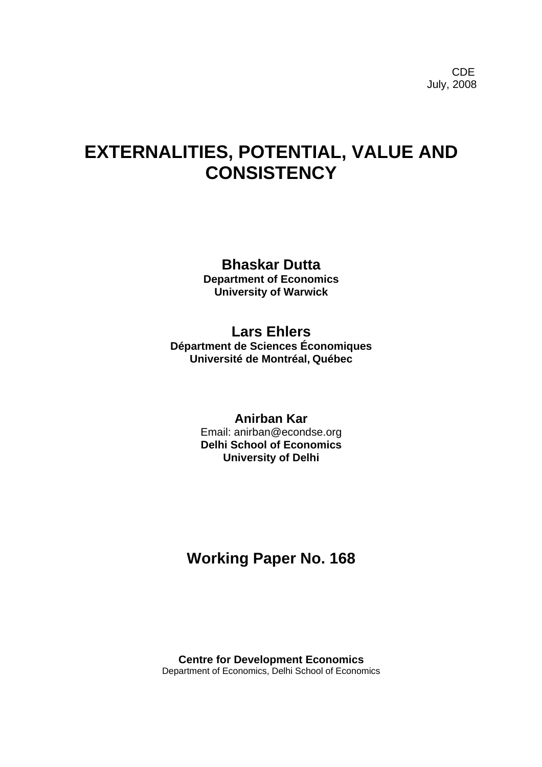# **EXTERNALITIES, POTENTIAL, VALUE AND CONSISTENCY**

# **Bhaskar Dutta**

**Department of Economics University of Warwick** 

# **Lars Ehlers**

**Départment de Sciences Économiques Université de Montréal, Québec** 

## **Anirban Kar**

Email: anirban@econdse.org **Delhi School of Economics University of Delhi** 

# **Working Paper No. 168**

**Centre for Development Economics**  Department of Economics, Delhi School of Economics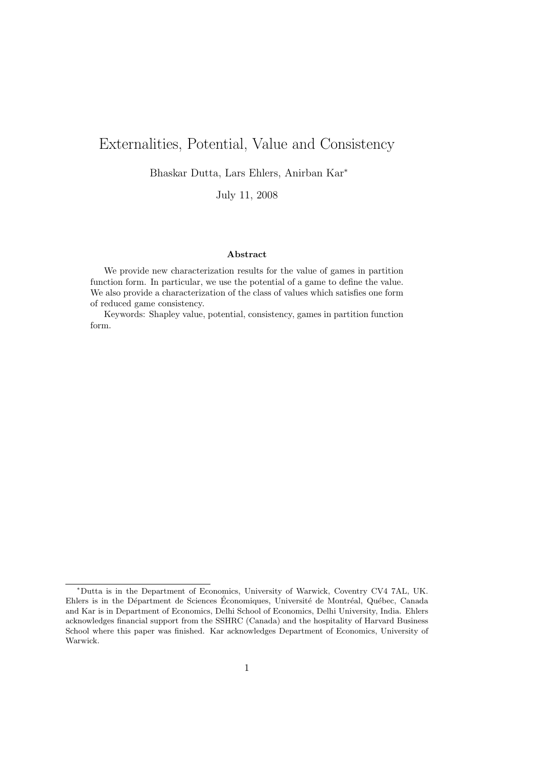# Externalities, Potential, Value and Consistency

Bhaskar Dutta, Lars Ehlers, Anirban Kar<sup>∗</sup>

July 11, 2008

## Abstract

We provide new characterization results for the value of games in partition function form. In particular, we use the potential of a game to define the value. We also provide a characterization of the class of values which satisfies one form of reduced game consistency.

Keywords: Shapley value, potential, consistency, games in partition function form.

<sup>∗</sup>Dutta is in the Department of Economics, University of Warwick, Coventry CV4 7AL, UK. Ehlers is in the Départment de Sciences Économiques, Université de Montréal, Québec, Canada and Kar is in Department of Economics, Delhi School of Economics, Delhi University, India. Ehlers acknowledges financial support from the SSHRC (Canada) and the hospitality of Harvard Business School where this paper was finished. Kar acknowledges Department of Economics, University of Warwick.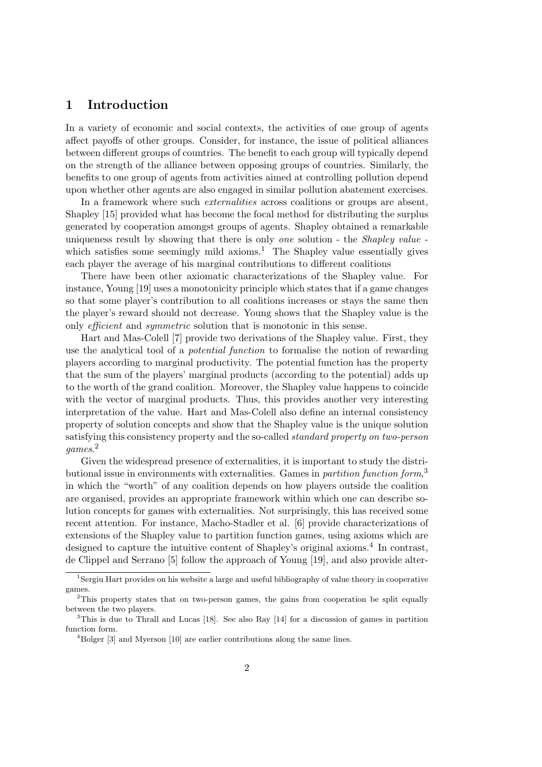## 1 Introduction

In a variety of economic and social contexts, the activities of one group of agents affect payoffs of other groups. Consider, for instance, the issue of political alliances between different groups of countries. The benefit to each group will typically depend on the strength of the alliance between opposing groups of countries. Similarly, the benefits to one group of agents from activities aimed at controlling pollution depend upon whether other agents are also engaged in similar pollution abatement exercises.

In a framework where such externalities across coalitions or groups are absent, Shapley [15] provided what has become the focal method for distributing the surplus generated by cooperation amongst groups of agents. Shapley obtained a remarkable uniqueness result by showing that there is only one solution - the Shapley value which satisfies some seemingly mild axioms.<sup>1</sup> The Shapley value essentially gives each player the average of his marginal contributions to different coalitions

There have been other axiomatic characterizations of the Shapley value. For instance, Young [19] uses a monotonicity principle which states that if a game changes so that some player's contribution to all coalitions increases or stays the same then the player's reward should not decrease. Young shows that the Shapley value is the only efficient and symmetric solution that is monotonic in this sense.

Hart and Mas-Colell [7] provide two derivations of the Shapley value. First, they use the analytical tool of a potential function to formalise the notion of rewarding players according to marginal productivity. The potential function has the property that the sum of the players' marginal products (according to the potential) adds up to the worth of the grand coalition. Moreover, the Shapley value happens to coincide with the vector of marginal products. Thus, this provides another very interesting interpretation of the value. Hart and Mas-Colell also define an internal consistency property of solution concepts and show that the Shapley value is the unique solution satisfying this consistency property and the so-called standard property on two-person games. 2

Given the widespread presence of externalities, it is important to study the distributional issue in environments with externalities. Games in *partition function form*,<sup>3</sup> in which the "worth" of any coalition depends on how players outside the coalition are organised, provides an appropriate framework within which one can describe solution concepts for games with externalities. Not surprisingly, this has received some recent attention. For instance, Macho-Stadler et al. [6] provide characterizations of extensions of the Shapley value to partition function games, using axioms which are designed to capture the intuitive content of Shapley's original axioms.<sup>4</sup> In contrast, de Clippel and Serrano [5] follow the approach of Young [19], and also provide alter-

<sup>&</sup>lt;sup>1</sup>Sergiu Hart provides on his website a large and useful bibliography of value theory in cooperative games.

 $2$ This property states that on two-person games, the gains from cooperation be split equally between the two players.

 $3$ This is due to Thrall and Lucas [18]. See also Ray [14] for a discussion of games in partition function form.

<sup>&</sup>lt;sup>4</sup>Bolger [3] and Myerson [10] are earlier contributions along the same lines.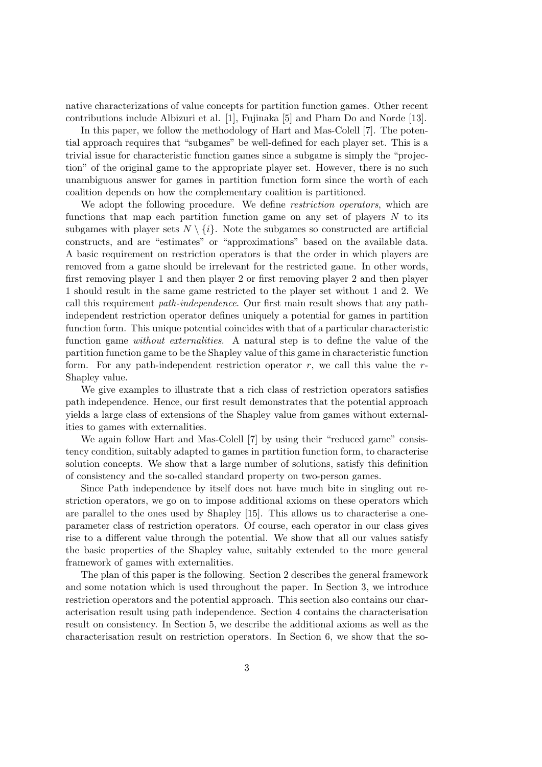native characterizations of value concepts for partition function games. Other recent contributions include Albizuri et al. [1], Fujinaka [5] and Pham Do and Norde [13].

In this paper, we follow the methodology of Hart and Mas-Colell [7]. The potential approach requires that "subgames" be well-defined for each player set. This is a trivial issue for characteristic function games since a subgame is simply the "projection" of the original game to the appropriate player set. However, there is no such unambiguous answer for games in partition function form since the worth of each coalition depends on how the complementary coalition is partitioned.

We adopt the following procedure. We define *restriction operators*, which are functions that map each partition function game on any set of players  $N$  to its subgames with player sets  $N \setminus \{i\}$ . Note the subgames so constructed are artificial constructs, and are "estimates" or "approximations" based on the available data. A basic requirement on restriction operators is that the order in which players are removed from a game should be irrelevant for the restricted game. In other words, first removing player 1 and then player 2 or first removing player 2 and then player 1 should result in the same game restricted to the player set without 1 and 2. We call this requirement path-independence. Our first main result shows that any pathindependent restriction operator defines uniquely a potential for games in partition function form. This unique potential coincides with that of a particular characteristic function game without externalities. A natural step is to define the value of the partition function game to be the Shapley value of this game in characteristic function form. For any path-independent restriction operator  $r$ , we call this value the  $r$ -Shapley value.

We give examples to illustrate that a rich class of restriction operators satisfies path independence. Hence, our first result demonstrates that the potential approach yields a large class of extensions of the Shapley value from games without externalities to games with externalities.

We again follow Hart and Mas-Colell [7] by using their "reduced game" consistency condition, suitably adapted to games in partition function form, to characterise solution concepts. We show that a large number of solutions, satisfy this definition of consistency and the so-called standard property on two-person games.

Since Path independence by itself does not have much bite in singling out restriction operators, we go on to impose additional axioms on these operators which are parallel to the ones used by Shapley [15]. This allows us to characterise a oneparameter class of restriction operators. Of course, each operator in our class gives rise to a different value through the potential. We show that all our values satisfy the basic properties of the Shapley value, suitably extended to the more general framework of games with externalities.

The plan of this paper is the following. Section 2 describes the general framework and some notation which is used throughout the paper. In Section 3, we introduce restriction operators and the potential approach. This section also contains our characterisation result using path independence. Section 4 contains the characterisation result on consistency. In Section 5, we describe the additional axioms as well as the characterisation result on restriction operators. In Section 6, we show that the so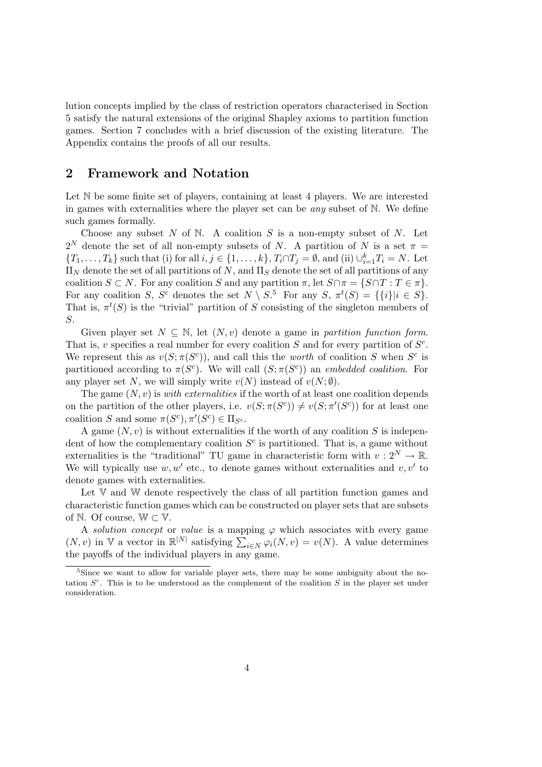lution concepts implied by the class of restriction operators characterised in Section 5 satisfy the natural extensions of the original Shapley axioms to partition function games. Section 7 concludes with a brief discussion of the existing literature. The Appendix contains the proofs of all our results.

## 2 Framework and Notation

Let  $\mathbb N$  be some finite set of players, containing at least 4 players. We are interested in games with externalities where the player set can be *any* subset of  $\mathbb N$ . We define such games formally.

Choose any subset  $N$  of  $N$ . A coalition  $S$  is a non-empty subset of  $N$ . Let  $2^N$  denote the set of all non-empty subsets of N. A partition of N is a set  $\pi =$  $\{T_1,\ldots,T_k\}$  such that (i) for all  $i,j\in\{1,\ldots,k\}$ ,  $T_i\cap T_j=\emptyset$ , and (ii)  $\bigcup_{i=1}^k T_i=N$ . Let  $\Pi_N$  denote the set of all partitions of N, and  $\Pi_S$  denote the set of all partitions of any coalition  $S \subset N$ . For any coalition S and any partition  $\pi$ , let  $S \cap \pi = \{S \cap T : T \in \pi\}$ . For any coalition S, S<sup>c</sup> denotes the set  $N \setminus S$ <sup>5</sup> For any S,  $\pi^t(S) = \{\{i\}|i \in S\}.$ That is,  $\pi^t(S)$  is the "trivial" partition of S consisting of the singleton members of S.

Given player set  $N \subseteq \mathbb{N}$ , let  $(N, v)$  denote a game in partition function form. That is, v specifies a real number for every coalition  $S$  and for every partition of  $S^c$ . We represent this as  $v(S; \pi(S^c))$ , and call this the worth of coalition S when  $S^c$  is partitioned according to  $\pi(S^c)$ . We will call  $(S; \pi(S^c))$  an embedded coalition. For any player set N, we will simply write  $v(N)$  instead of  $v(N; \emptyset)$ .

The game  $(N, v)$  is *with externalities* if the worth of at least one coalition depends on the partition of the other players, i.e.  $v(S; \pi(S^c)) \neq v(S; \pi'(S^c))$  for at least one coalition S and some  $\pi(S^c), \pi'(S^c) \in \Pi_{S^c}$ .

A game  $(N, v)$  is without externalities if the worth of any coalition S is independent of how the complementary coalition  $S<sup>c</sup>$  is partitioned. That is, a game without externalities is the "traditional" TU game in characteristic form with  $v: 2^N \to \mathbb{R}$ . We will typically use  $w, w'$  etc., to denote games without externalities and  $v, v'$  to denote games with externalities.

Let  $V$  and  $W$  denote respectively the class of all partition function games and characteristic function games which can be constructed on player sets that are subsets of N. Of course,  $\mathbb{W} \subset \mathbb{V}$ .

A solution concept or value is a mapping  $\varphi$  which associates with every game  $(N, v)$  in V a vector in  $\mathbb{R}^{|N|}$  satisfying  $\sum_{i \in N} \varphi_i(N, v) = v(N)$ . A value determines the payoffs of the individual players in any game.

<sup>&</sup>lt;sup>5</sup>Since we want to allow for variable player sets, there may be some ambiguity about the notation  $S<sup>c</sup>$ . This is to be understood as the complement of the coalition S in the player set under consideration.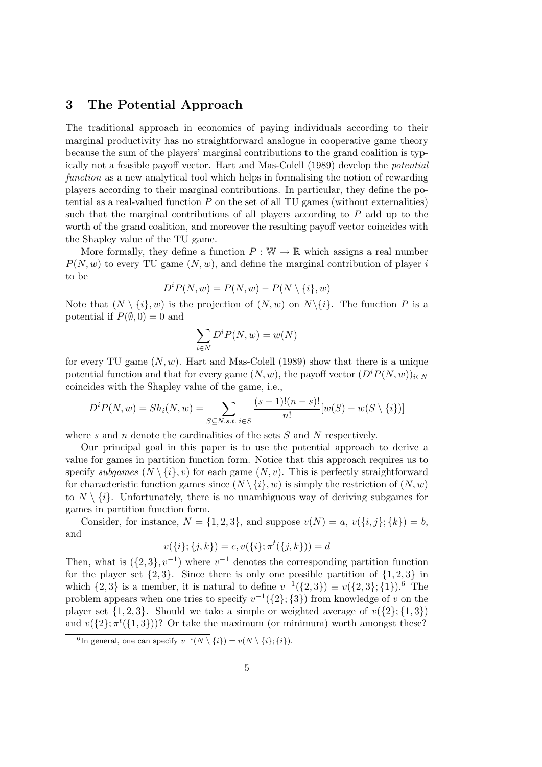## 3 The Potential Approach

The traditional approach in economics of paying individuals according to their marginal productivity has no straightforward analogue in cooperative game theory because the sum of the players' marginal contributions to the grand coalition is typically not a feasible payoff vector. Hart and Mas-Colell (1989) develop the potential function as a new analytical tool which helps in formalising the notion of rewarding players according to their marginal contributions. In particular, they define the potential as a real-valued function P on the set of all TU games (without externalities) such that the marginal contributions of all players according to  $P$  add up to the worth of the grand coalition, and moreover the resulting payoff vector coincides with the Shapley value of the TU game.

More formally, they define a function  $P : \mathbb{W} \to \mathbb{R}$  which assigns a real number  $P(N, w)$  to every TU game  $(N, w)$ , and define the marginal contribution of player i to be

$$
D^{i}P(N, w) = P(N, w) - P(N \setminus \{i\}, w)
$$

Note that  $(N \setminus \{i\}, w)$  is the projection of  $(N, w)$  on  $N \setminus \{i\}$ . The function P is a potential if  $P(\emptyset, 0) = 0$  and

$$
\sum_{i\in N}D^iP(N,w)=w(N)
$$

for every TU game  $(N, w)$ . Hart and Mas-Colell (1989) show that there is a unique potential function and that for every game  $(N, w)$ , the payoff vector  $(D^{i}P(N, w))_{i \in N}$ coincides with the Shapley value of the game, i.e.,

$$
D^{i}P(N, w) = Sh_{i}(N, w) = \sum_{S \subseteq N, s.t.} \sum_{i \in S} \frac{(s-1)!(n-s)!}{n!} [w(S) - w(S \setminus \{i\})]
$$

where  $s$  and  $n$  denote the cardinalities of the sets  $S$  and  $N$  respectively.

Our principal goal in this paper is to use the potential approach to derive a value for games in partition function form. Notice that this approach requires us to specify subgames  $(N \setminus \{i\}, v)$  for each game  $(N, v)$ . This is perfectly straightforward for characteristic function games since  $(N \setminus \{i\}, w)$  is simply the restriction of  $(N, w)$ to  $N \setminus \{i\}$ . Unfortunately, there is no unambiguous way of deriving subgames for games in partition function form.

Consider, for instance,  $N = \{1, 2, 3\}$ , and suppose  $v(N) = a$ ,  $v(\{i, j\}; \{k\}) = b$ , and

$$
v(\{i\};\{j,k\}) = c, v(\{i\};\pi^t(\{j,k\})) = d
$$

Then, what is  $({2, 3}, v^{-1})$  where  $v^{-1}$  denotes the corresponding partition function for the player set  $\{2, 3\}$ . Since there is only one possible partition of  $\{1, 2, 3\}$  in which  $\{2,3\}$  is a member, it is natural to define  $v^{-1}(\{2,3\}) \equiv v(\{2,3\};\{1\})$ .<sup>6</sup> The problem appears when one tries to specify  $v^{-1}(\{2\}; \{3\})$  from knowledge of v on the player set  $\{1, 2, 3\}$ . Should we take a simple or weighted average of  $v(\{2\}; \{1, 3\})$ and  $v({2}; \pi^{t}({1, 3})))$ ? Or take the maximum (or minimum) worth amongst these?

<sup>&</sup>lt;sup>6</sup>In general, one can specify  $v^{-i}(N \setminus \{i\}) = v(N \setminus \{i\}; \{i\}).$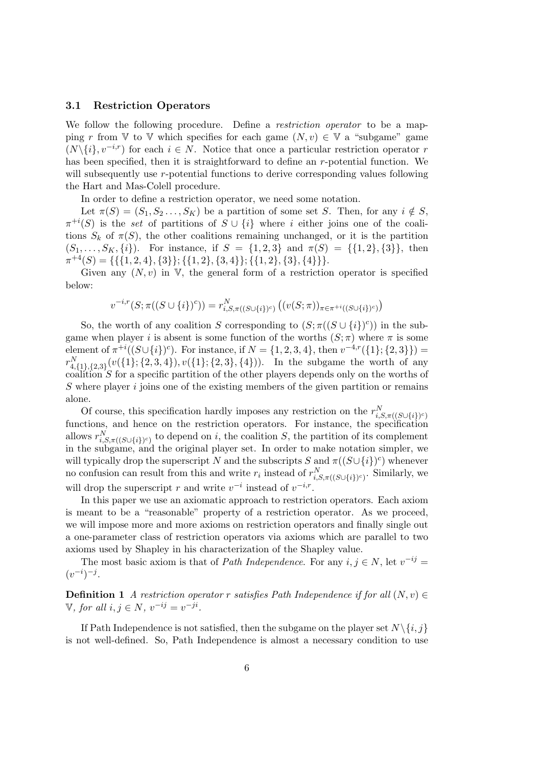### 3.1 Restriction Operators

We follow the following procedure. Define a *restriction operator* to be a mapping r from V to V which specifies for each game  $(N, v) \in V$  a "subgame" game  $(N\{i\}, v^{-i,r})$  for each  $i \in N$ . Notice that once a particular restriction operator r has been specified, then it is straightforward to define an r-potential function. We will subsequently use r-potential functions to derive corresponding values following the Hart and Mas-Colell procedure.

In order to define a restriction operator, we need some notation.

Let  $\pi(S) = (S_1, S_2, \ldots, S_K)$  be a partition of some set S. Then, for any  $i \notin S$ ,  $\pi^{+i}(S)$  is the set of partitions of  $S \cup \{i\}$  where i either joins one of the coalitions  $S_k$  of  $\pi(S)$ , the other coalitions remaining unchanged, or it is the partition  $(S_1, \ldots, S_K, \{i\})$ . For instance, if  $S = \{1, 2, 3\}$  and  $\pi(S) = \{\{1, 2\}, \{3\}\}\$ , then  $\pi^{+4}(S) = \{ \{ \{1, 2, 4\}, \{3\} \}; \{ \{1, 2\}, \{3, 4\} \}; \{ \{1, 2\}, \{3\}, \{4\} \} \}.$ 

Given any  $(N, v)$  in V, the general form of a restriction operator is specified below:

$$
v^{-i,r}(S; \pi((S \cup \{i\})^c)) = r_{i,S,\pi((S \cup \{i\})^c)}^N((v(S; \pi))_{\pi \in \pi^{+i}((S \cup \{i\})^c)})
$$

So, the worth of any coalition S corresponding to  $(S; \pi((S \cup \{i\})^c))$  in the subgame when player i is absent is some function of the worths  $(S; \pi)$  where  $\pi$  is some element of  $\pi^{+i}((S\cup\{i\})^c)$ . For instance, if  $N = \{1, 2, 3, 4\}$ , then  $v^{-4,r}(\{1\}; \{2, 3\})$  =  $r_{4,\{1\},\{2,3\}}^N(v(\{1\};\{2,3,4\}),v(\{1\};\{2,3\},\{4\})).$  In the subgame the worth of any coalition S for a specific partition of the other players depends only on the worths of  $S$  where player  $i$  joins one of the existing members of the given partition or remains alone.

Of course, this specification hardly imposes any restriction on the  $r_{i,S,\pi((S\cup\{i\})^c)}^N$ functions, and hence on the restriction operators. For instance, the specification allows  $r_{i,S,\pi((S\cup\{i\})^c)}^N$  to depend on i, the coalition S, the partition of its complement in the subgame, and the original player set. In order to make notation simpler, we will typically drop the superscript N and the subscripts S and  $\pi((S \cup \{i\})^c)$  whenever no confusion can result from this and write  $r_i$  instead of  $r_{i,S,\pi((S\cup\{i\})^c)}^N$ . Similarly, we will drop the superscript r and write  $v^{-i}$  instead of  $v^{-i,r}$ .

In this paper we use an axiomatic approach to restriction operators. Each axiom is meant to be a "reasonable" property of a restriction operator. As we proceed, we will impose more and more axioms on restriction operators and finally single out a one-parameter class of restriction operators via axioms which are parallel to two axioms used by Shapley in his characterization of the Shapley value.

The most basic axiom is that of *Path Independence*. For any  $i, j \in N$ , let  $v^{-ij} =$  $(v^{-i})^{-j}$ .

**Definition 1** A restriction operator r satisfies Path Independence if for all  $(N, v) \in$ V, for all  $i, j \in N$ ,  $v^{-ij} = v^{-ji}$ .

If Path Independence is not satisfied, then the subgame on the player set  $N \setminus \{i, j\}$ is not well-defined. So, Path Independence is almost a necessary condition to use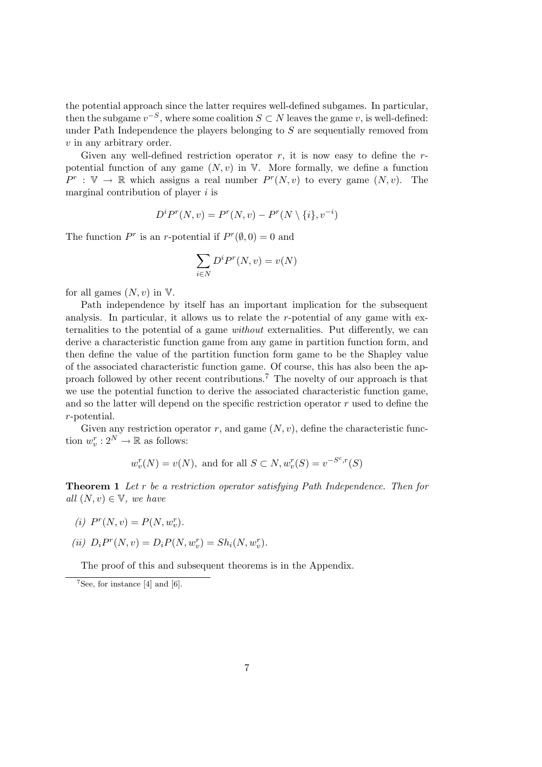the potential approach since the latter requires well-defined subgames. In particular, then the subgame  $v^{-S}$ , where some coalition  $S \subset N$  leaves the game v, is well-defined: under Path Independence the players belonging to  $S$  are sequentially removed from v in any arbitrary order.

Given any well-defined restriction operator r, it is now easy to define the  $r$ potential function of any game  $(N, v)$  in V. More formally, we define a function  $P^r : \mathbb{V} \to \mathbb{R}$  which assigns a real number  $P^r(N, v)$  to every game  $(N, v)$ . The marginal contribution of player  $i$  is

$$
D^i P^r(N, v) = P^r(N, v) - P^r(N \setminus \{i\}, v^{-i})
$$

The function  $P^r$  is an r-potential if  $P^r(\emptyset,0) = 0$  and

$$
\sum_{i\in N}D^iP^r(N,v)=v(N)
$$

for all games  $(N, v)$  in  $V$ .

Path independence by itself has an important implication for the subsequent analysis. In particular, it allows us to relate the r-potential of any game with externalities to the potential of a game without externalities. Put differently, we can derive a characteristic function game from any game in partition function form, and then define the value of the partition function form game to be the Shapley value of the associated characteristic function game. Of course, this has also been the approach followed by other recent contributions.<sup>7</sup> The novelty of our approach is that we use the potential function to derive the associated characteristic function game, and so the latter will depend on the specific restriction operator  $r$  used to define the r-potential.

Given any restriction operator r, and game  $(N, v)$ , define the characteristic function  $w_v^r: 2^N \to \mathbb{R}$  as follows:

$$
w_v^r(N) = v(N)
$$
, and for all  $S \subset N$ ,  $w_v^r(S) = v^{-S^c,r}(S)$ 

Theorem 1 Let r be a restriction operator satisfying Path Independence. Then for all  $(N, v) \in \mathbb{V}$ , we have

$$
(i) Pr(N, v) = P(N, wvr).
$$

(ii) 
$$
D_i P^r(N, v) = D_i P(N, w_v^r) = Sh_i(N, w_v^r)
$$
.

The proof of this and subsequent theorems is in the Appendix.

 $7$ See, for instance [4] and [6].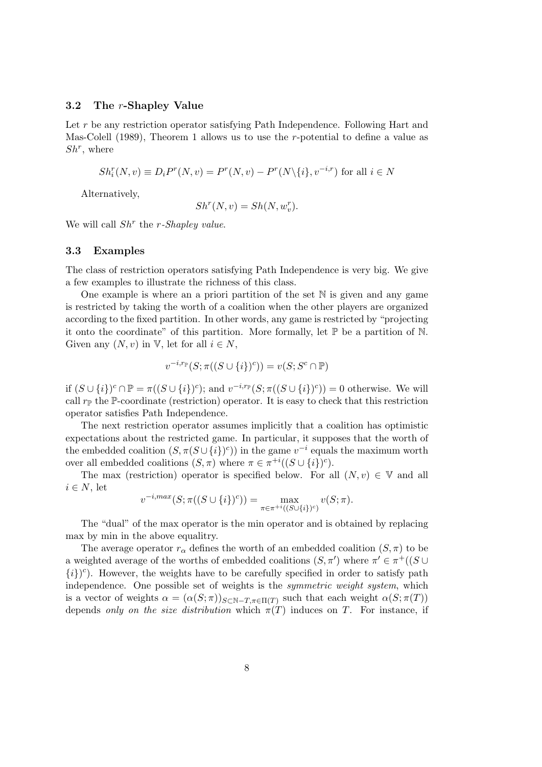#### 3.2 The r-Shapley Value

Let r be any restriction operator satisfying Path Independence. Following Hart and Mas-Colell (1989), Theorem 1 allows us to use the  $r$ -potential to define a value as  $Sh^r$ , where

$$
Sh_i^r(N, v) \equiv D_i P^r(N, v) = P^r(N, v) - P^r(N \setminus \{i\}, v^{-i,r})
$$
 for all  $i \in N$ 

Alternatively,

$$
Sh^{r}(N,v)=Sh(N,w_{v}^{r}).
$$

We will call  $Sh<sup>r</sup>$  the *r*-Shapley value.

#### 3.3 Examples

The class of restriction operators satisfying Path Independence is very big. We give a few examples to illustrate the richness of this class.

One example is where an a priori partition of the set  $\mathbb N$  is given and any game is restricted by taking the worth of a coalition when the other players are organized according to the fixed partition. In other words, any game is restricted by "projecting it onto the coordinate" of this partition. More formally, let  $\mathbb P$  be a partition of  $\mathbb N$ . Given any  $(N, v)$  in V, let for all  $i \in N$ ,

$$
v^{-i,r_{\mathbb{P}}}(S;\pi((S \cup \{i\})^c)) = v(S;S^c \cap \mathbb{P})
$$

if  $(S \cup \{i\})^c \cap \mathbb{P} = \pi((S \cup \{i\})^c)$ ; and  $v^{-i,r} \mathbb{P}(S; \pi((S \cup \{i\})^c)) = 0$  otherwise. We will call  $r_{\mathbb{P}}$  the P-coordinate (restriction) operator. It is easy to check that this restriction operator satisfies Path Independence.

The next restriction operator assumes implicitly that a coalition has optimistic expectations about the restricted game. In particular, it supposes that the worth of the embedded coalition  $(S, \pi(S \cup \{i\})^c)$  in the game  $v^{-i}$  equals the maximum worth over all embedded coalitions  $(S, \pi)$  where  $\pi \in \pi^{+i}((S \cup \{i\})^c)$ .

The max (restriction) operator is specified below. For all  $(N, v) \in V$  and all  $i \in N$ , let

$$
v^{-i,max}(S; \pi((S \cup \{i\})^c)) = \max_{\pi \in \pi^{+i}((S \cup \{i\})^c)} v(S; \pi).
$$

The "dual" of the max operator is the min operator and is obtained by replacing max by min in the above equalitry.

The average operator  $r_{\alpha}$  defines the worth of an embedded coalition  $(S,\pi)$  to be a weighted average of the worths of embedded coalitions  $(S, \pi')$  where  $\pi' \in \pi^+((S \cup$  ${i}$ )<sup>c</sup>). However, the weights have to be carefully specified in order to satisfy path independence. One possible set of weights is the *symmetric weight system*, which is a vector of weights  $\alpha = (\alpha(S; \pi))_{S \subset \mathbb{N} - T, \pi \in \Pi(T)}$  such that each weight  $\alpha(S; \pi(T))$ depends only on the size distribution which  $\pi(T)$  induces on T. For instance, if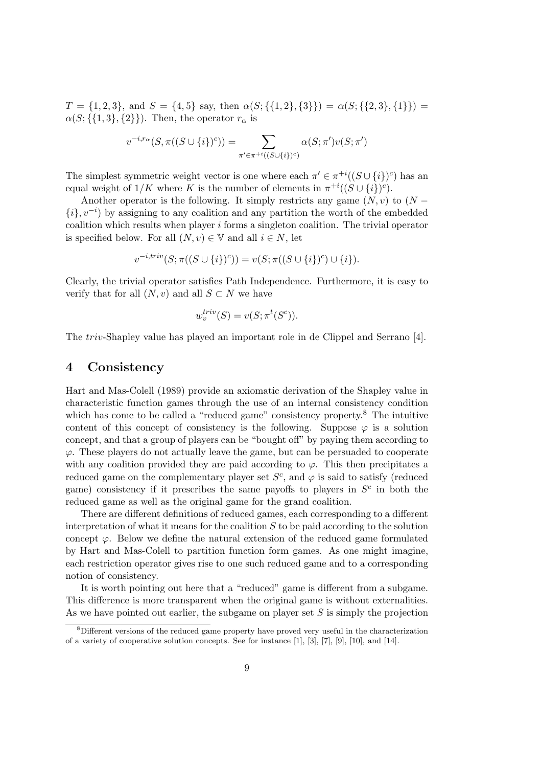$T = \{1, 2, 3\}$ , and  $S = \{4, 5\}$  say, then  $\alpha(S; \{\{1, 2\}, \{3\}\}) = \alpha(S; \{\{2, 3\}, \{1\}\})$  $\alpha(S;\{\{1,3\},\{2\}\})$ . Then, the operator  $r_{\alpha}$  is

$$
v^{-i,r_{\alpha}}(S,\pi((S\cup\{i\})^c))=\sum_{\pi'\in\pi^{+i}((S\cup\{i\})^c)}\alpha(S;\pi')v(S;\pi')
$$

The simplest symmetric weight vector is one where each  $\pi' \in \pi^{+i}((S \cup \{i\})^c)$  has an equal weight of  $1/K$  where K is the number of elements in  $\pi^{+i}((S \cup \{i\})^c)$ .

Another operator is the following. It simply restricts any game  $(N, v)$  to  $(N \{i\}$ ,  $v^{-i}$ ) by assigning to any coalition and any partition the worth of the embedded coalition which results when player i forms a singleton coalition. The trivial operator is specified below. For all  $(N, v) \in V$  and all  $i \in N$ , let

$$
v^{-i,triv}(S; \pi((S \cup \{i\})^c)) = v(S; \pi((S \cup \{i\})^c) \cup \{i\}).
$$

Clearly, the trivial operator satisfies Path Independence. Furthermore, it is easy to verify that for all  $(N, v)$  and all  $S \subset N$  we have

$$
w_v^{triv}(S) = v(S; \pi^t(S^c)).
$$

The triv-Shapley value has played an important role in de Clippel and Serrano [4].

## 4 Consistency

Hart and Mas-Colell (1989) provide an axiomatic derivation of the Shapley value in characteristic function games through the use of an internal consistency condition which has come to be called a "reduced game" consistency property.<sup>8</sup> The intuitive content of this concept of consistency is the following. Suppose  $\varphi$  is a solution concept, and that a group of players can be "bought off" by paying them according to  $\varphi$ . These players do not actually leave the game, but can be persuaded to cooperate with any coalition provided they are paid according to  $\varphi$ . This then precipitates a reduced game on the complementary player set  $S<sup>c</sup>$ , and  $\varphi$  is said to satisfy (reduced game) consistency if it prescribes the same payoffs to players in  $S<sup>c</sup>$  in both the reduced game as well as the original game for the grand coalition.

There are different definitions of reduced games, each corresponding to a different interpretation of what it means for the coalition  $S$  to be paid according to the solution concept  $\varphi$ . Below we define the natural extension of the reduced game formulated by Hart and Mas-Colell to partition function form games. As one might imagine, each restriction operator gives rise to one such reduced game and to a corresponding notion of consistency.

It is worth pointing out here that a "reduced" game is different from a subgame. This difference is more transparent when the original game is without externalities. As we have pointed out earlier, the subgame on player set  $S$  is simply the projection

<sup>8</sup>Different versions of the reduced game property have proved very useful in the characterization of a variety of cooperative solution concepts. See for instance [1], [3], [7], [9], [10], and [14].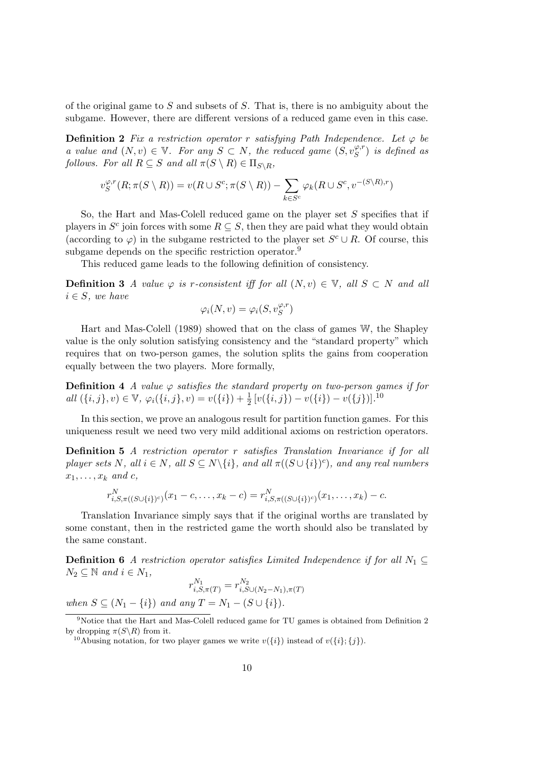of the original game to S and subsets of S. That is, there is no ambiguity about the subgame. However, there are different versions of a reduced game even in this case.

**Definition 2** Fix a restriction operator r satisfying Path Independence. Let  $\varphi$  be a value and  $(N, v) \in \mathbb{V}$ . For any  $S \subset N$ , the reduced game  $(S, v_S^{\varphi,r})$  is defined as follows. For all  $R \subseteq S$  and all  $\pi(S \setminus R) \in \Pi_{S \setminus R}$ ,

$$
v_S^{\varphi,r}(R; \pi(S \setminus R)) = v(R \cup S^c; \pi(S \setminus R)) - \sum_{k \in S^c} \varphi_k(R \cup S^c, v^{-(S \setminus R), r})
$$

So, the Hart and Mas-Colell reduced game on the player set S specifies that if players in  $S^c$  join forces with some  $R \subseteq S$ , then they are paid what they would obtain (according to  $\varphi$ ) in the subgame restricted to the player set  $S^c \cup R$ . Of course, this subgame depends on the specific restriction operator.<sup>9</sup>

This reduced game leads to the following definition of consistency.

**Definition 3** A value  $\varphi$  is r-consistent iff for all  $(N, v) \in \mathbb{V}$ , all  $S \subset N$  and all  $i \in S$ , we have

$$
\varphi_i(N, v) = \varphi_i(S, v_S^{\varphi, r})
$$

Hart and Mas-Colell (1989) showed that on the class of games W, the Shapley value is the only solution satisfying consistency and the "standard property" which requires that on two-person games, the solution splits the gains from cooperation equally between the two players. More formally,

**Definition 4** A value  $\varphi$  satisfies the standard property on two-person games if for all  $(\{i, j\}, v) \in \mathbb{V}$ ,  $\varphi_i(\{i, j\}, v) = v(\{i\}) + \frac{1}{2} [v(\{i, j\}) - v(\{i\}) - v(\{j\})].$ <sup>10</sup>

In this section, we prove an analogous result for partition function games. For this uniqueness result we need two very mild additional axioms on restriction operators.

Definition 5 A restriction operator r satisfies Translation Invariance if for all player sets N, all  $i \in N$ , all  $S \subseteq N \setminus \{i\}$ , and all  $\pi((S \cup \{i\})^c)$ , and any real numbers  $x_1, \ldots, x_k$  and c,

$$
r_{i,S,\pi((S\cup\{i\})^c)}^N(x_1-c,\ldots,x_k-c)=r_{i,S,\pi((S\cup\{i\})^c)}^N(x_1,\ldots,x_k)-c.
$$

Translation Invariance simply says that if the original worths are translated by some constant, then in the restricted game the worth should also be translated by the same constant.

**Definition 6** A restriction operator satisfies Limited Independence if for all  $N_1 \subseteq$  $N_2 \subseteq \mathbb{N}$  and  $i \in N_1$ ,

$$
r_{i,S,\pi(T)}^{N_1} = r_{i,S\cup(N_2-N_1),\pi(T)}^{N_2}
$$

when  $S \subseteq (N_1 - \{i\})$  and any  $T = N_1 - (S \cup \{i\}).$ 

<sup>9</sup>Notice that the Hart and Mas-Colell reduced game for TU games is obtained from Definition 2 by dropping  $\pi(S\backslash R)$  from it.

<sup>&</sup>lt;sup>10</sup>Abusing notation, for two player games we write  $v({i})$  instead of  $v({i}; {j}).$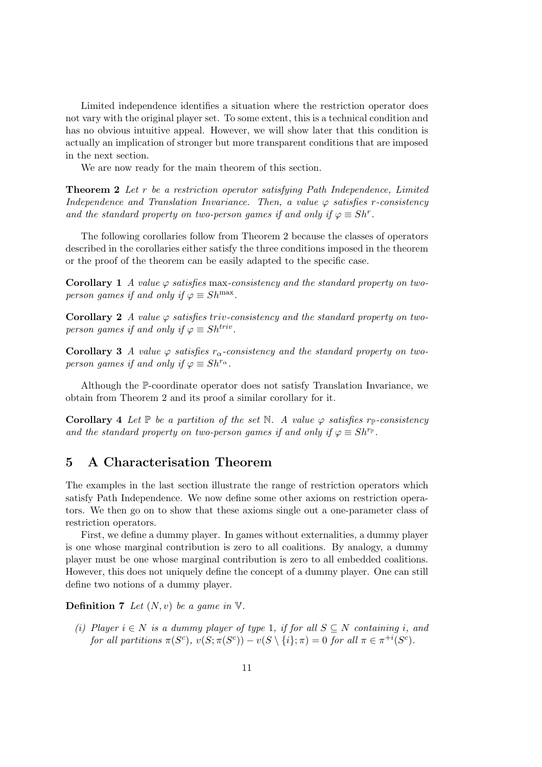Limited independence identifies a situation where the restriction operator does not vary with the original player set. To some extent, this is a technical condition and has no obvious intuitive appeal. However, we will show later that this condition is actually an implication of stronger but more transparent conditions that are imposed in the next section.

We are now ready for the main theorem of this section.

Theorem 2 Let r be a restriction operator satisfying Path Independence, Limited Independence and Translation Invariance. Then, a value  $\varphi$  satisfies r-consistency and the standard property on two-person games if and only if  $\varphi \equiv Sh^{r}$ .

The following corollaries follow from Theorem 2 because the classes of operators described in the corollaries either satisfy the three conditions imposed in the theorem or the proof of the theorem can be easily adapted to the specific case.

**Corollary 1** A value  $\varphi$  satisfies max-consistency and the standard property on twoperson games if and only if  $\varphi \equiv Sh^{\text{max}}$ .

Corollary 2 A value  $\varphi$  satisfies triv-consistency and the standard property on twoperson games if and only if  $\varphi \equiv Sh^{triv}$ .

**Corollary 3** A value  $\varphi$  satisfies  $r_{\alpha}$ -consistency and the standard property on twoperson games if and only if  $\varphi \equiv Sh^{r_{\alpha}}$ .

Although the P-coordinate operator does not satisfy Translation Invariance, we obtain from Theorem 2 and its proof a similar corollary for it.

**Corollary 4** Let  $\mathbb{P}$  be a partition of the set N. A value  $\varphi$  satisfies  $r_{\mathbb{P}}$ -consistency and the standard property on two-person games if and only if  $\varphi \equiv Sh^{r_{\mathbb{P}}}$ .

## 5 A Characterisation Theorem

The examples in the last section illustrate the range of restriction operators which satisfy Path Independence. We now define some other axioms on restriction operators. We then go on to show that these axioms single out a one-parameter class of restriction operators.

First, we define a dummy player. In games without externalities, a dummy player is one whose marginal contribution is zero to all coalitions. By analogy, a dummy player must be one whose marginal contribution is zero to all embedded coalitions. However, this does not uniquely define the concept of a dummy player. One can still define two notions of a dummy player.

**Definition 7** Let  $(N, v)$  be a game in  $V$ .

(i) Player  $i \in N$  is a dummy player of type 1, if for all  $S \subseteq N$  containing i, and for all partitions  $\pi(S^c)$ ,  $v(S; \pi(S^c)) - v(S \setminus \{i\}; \pi) = 0$  for all  $\pi \in \pi^{+i}(S^c)$ .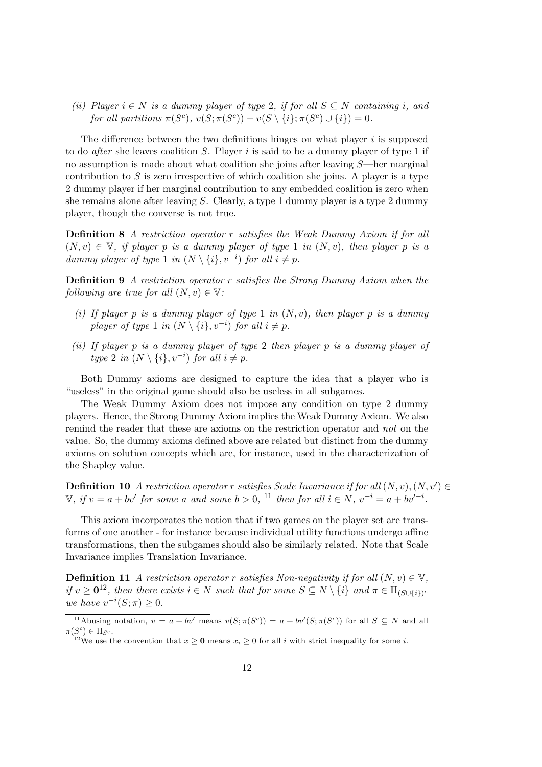(ii) Player  $i \in N$  is a dummy player of type 2, if for all  $S \subseteq N$  containing i, and for all partitions  $\pi(S^c)$ ,  $v(S; \pi(S^c)) - v(S \setminus \{i\}; \pi(S^c) \cup \{i\}) = 0$ .

The difference between the two definitions hinges on what player  $i$  is supposed to do *after* she leaves coalition  $S$ . Player i is said to be a dummy player of type 1 if no assumption is made about what coalition she joins after leaving S—her marginal contribution to  $S$  is zero irrespective of which coalition she joins. A player is a type 2 dummy player if her marginal contribution to any embedded coalition is zero when she remains alone after leaving S. Clearly, a type 1 dummy player is a type 2 dummy player, though the converse is not true.

Definition 8 A restriction operator r satisfies the Weak Dummy Axiom if for all  $(N, v) \in V$ , if player p is a dummy player of type 1 in  $(N, v)$ , then player p is a dummy player of type 1 in  $(N \setminus \{i\}, v^{-i})$  for all  $i \neq p$ .

Definition 9 A restriction operator r satisfies the Strong Dummy Axiom when the following are true for all  $(N, v) \in \mathbb{V}$ :

- (i) If player p is a dummy player of type 1 in  $(N, v)$ , then player p is a dummy player of type 1 in  $(N \setminus \{i\}, v^{-i})$  for all  $i \neq p$ .
- (ii) If player p is a dummy player of type 2 then player p is a dummy player of type 2 in  $(N \setminus \{i\}, v^{-i})$  for all  $i \neq p$ .

Both Dummy axioms are designed to capture the idea that a player who is "useless" in the original game should also be useless in all subgames.

The Weak Dummy Axiom does not impose any condition on type 2 dummy players. Hence, the Strong Dummy Axiom implies the Weak Dummy Axiom. We also remind the reader that these are axioms on the restriction operator and not on the value. So, the dummy axioms defined above are related but distinct from the dummy axioms on solution concepts which are, for instance, used in the characterization of the Shapley value.

**Definition 10** A restriction operator r satisfies Scale Invariance if for all  $(N, v), (N, v') \in$ V, if  $v = a + bv'$  for some a and some  $b > 0$ , <sup>11</sup> then for all  $i \in N$ ,  $v^{-i} = a + bv'^{-i}$ .

This axiom incorporates the notion that if two games on the player set are transforms of one another - for instance because individual utility functions undergo affine transformations, then the subgames should also be similarly related. Note that Scale Invariance implies Translation Invariance.

**Definition 11** A restriction operator r satisfies Non-negativity if for all  $(N, v) \in \mathbb{V}$ , if  $v \ge 0^{12}$ , then there exists  $i \in N$  such that for some  $S \subseteq N \setminus \{i\}$  and  $\pi \in \Pi_{(S \cup \{i\})^c}$ we have  $v^{-i}(S; \pi) \geq 0$ .

<sup>&</sup>lt;sup>11</sup>Abusing notation,  $v = a + bv'$  means  $v(S; \pi(S^c)) = a + bv'(S; \pi(S^c))$  for all  $S \subseteq N$  and all  $\pi(S^c) \in \Pi_{S^c}.$ 

<sup>&</sup>lt;sup>12</sup>We use the convention that  $x \ge 0$  means  $x_i \ge 0$  for all i with strict inequality for some i.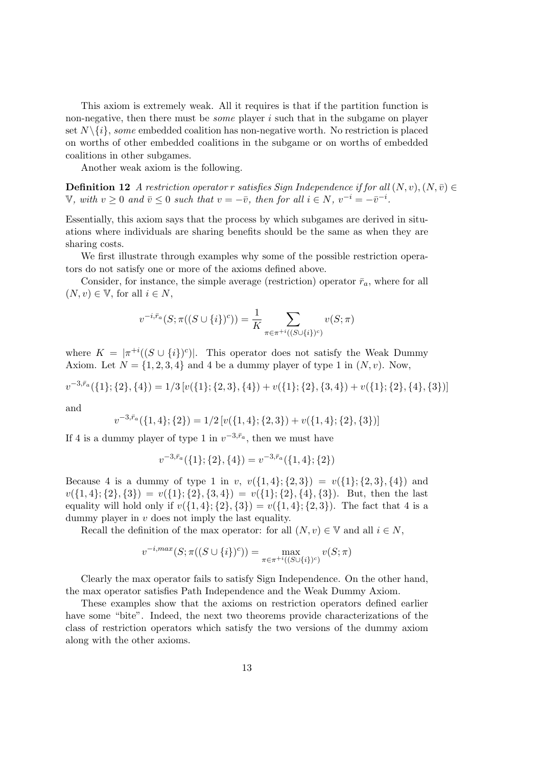This axiom is extremely weak. All it requires is that if the partition function is non-negative, then there must be some player i such that in the subgame on player set  $N \setminus \{i\}$ , some embedded coalition has non-negative worth. No restriction is placed on worths of other embedded coalitions in the subgame or on worths of embedded coalitions in other subgames.

Another weak axiom is the following.

**Definition 12** A restriction operator r satisfies Sign Independence if for all  $(N, v), (N, \bar{v}) \in$ V, with  $v \ge 0$  and  $\bar{v} \le 0$  such that  $v = -\bar{v}$ , then for all  $i \in N$ ,  $v^{-i} = -\bar{v}^{-i}$ .

Essentially, this axiom says that the process by which subgames are derived in situations where individuals are sharing benefits should be the same as when they are sharing costs.

We first illustrate through examples why some of the possible restriction operators do not satisfy one or more of the axioms defined above.

Consider, for instance, the simple average (restriction) operator  $\bar{r}_a$ , where for all  $(N, v) \in V$ , for all  $i \in N$ ,

$$
v^{-i,\bar{r}_a}(S; \pi((S \cup \{i\})^c)) = \frac{1}{K} \sum_{\pi \in \pi^{+i}((S \cup \{i\})^c)} v(S; \pi)
$$

where  $K = |\pi^{+i}((S \cup \{i\})^c)|$ . This operator does not satisfy the Weak Dummy Axiom. Let  $N = \{1, 2, 3, 4\}$  and 4 be a dummy player of type 1 in  $(N, v)$ . Now,

$$
v^{-3,\bar{r}_a}(\{1\};\{2\},\{4\}) = 1/3[v(\{1\};\{2,3\},\{4\}) + v(\{1\};\{2\},\{3,4\}) + v(\{1\};\{2\},\{4\},\{3\})]
$$

and

$$
v^{-3,\bar{r}_a}(\{1,4\};\{2\}) = 1/2 \left[ v(\{1,4\};\{2,3\}) + v(\{1,4\};\{2\},\{3\}) \right]
$$

If 4 is a dummy player of type 1 in  $v^{-3,\bar{r}_a}$ , then we must have

$$
v^{-3,\bar{r}_a}(\{1\};\{2\},\{4\}) = v^{-3,\bar{r}_a}(\{1,4\};\{2\})
$$

Because 4 is a dummy of type 1 in v,  $v({1, 4}; {2, 3}) = v({1}; {2, 3}, {4})$  and  $v({1, 4}; {2}, {3}) = v({1}; {2}, {3, 4}) = v({1}; {2}, {4}, {3})$ . But, then the last equality will hold only if  $v({1, 4}; {2}, {3}) = v({1, 4}; {2, 3})$ . The fact that 4 is a dummy player in v does not imply the last equality.

Recall the definition of the max operator: for all  $(N, v) \in V$  and all  $i \in N$ ,

$$
v^{-i,max}(S; \pi((S \cup \{i\})^c)) = \max_{\pi \in \pi^{+i}((S \cup \{i\})^c)} v(S; \pi)
$$

Clearly the max operator fails to satisfy Sign Independence. On the other hand, the max operator satisfies Path Independence and the Weak Dummy Axiom.

These examples show that the axioms on restriction operators defined earlier have some "bite". Indeed, the next two theorems provide characterizations of the class of restriction operators which satisfy the two versions of the dummy axiom along with the other axioms.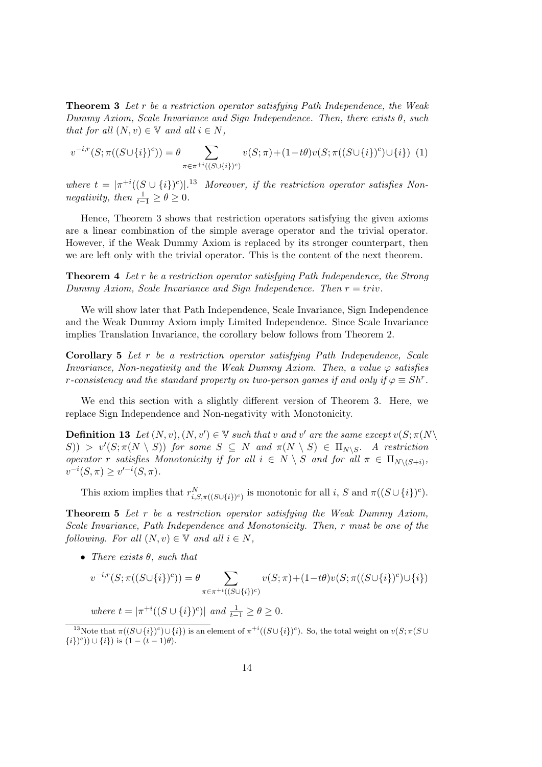Theorem 3 Let r be a restriction operator satisfying Path Independence, the Weak Dummy Axiom, Scale Invariance and Sign Independence. Then, there exists θ, such that for all  $(N, v) \in V$  and all  $i \in N$ ,

$$
v^{-i,r}(S; \pi((S \cup \{i\})^c)) = \theta \sum_{\pi \in \pi^{+i}((S \cup \{i\})^c)} v(S; \pi) + (1 - t\theta)v(S; \pi((S \cup \{i\})^c) \cup \{i\}) \tag{1}
$$

where  $t = |\pi^{+i}((S \cup \{i\})^c)|^{13}$  Moreover, if the restriction operator satisfies Nonnegativity, then  $\frac{1}{t-1} \geq \theta \geq 0$ .

Hence, Theorem 3 shows that restriction operators satisfying the given axioms are a linear combination of the simple average operator and the trivial operator. However, if the Weak Dummy Axiom is replaced by its stronger counterpart, then we are left only with the trivial operator. This is the content of the next theorem.

Theorem 4 Let r be a restriction operator satisfying Path Independence, the Strong Dummy Axiom, Scale Invariance and Sign Independence. Then  $r = triv$ .

We will show later that Path Independence, Scale Invariance, Sign Independence and the Weak Dummy Axiom imply Limited Independence. Since Scale Invariance implies Translation Invariance, the corollary below follows from Theorem 2.

Corollary 5 Let r be a restriction operator satisfying Path Independence, Scale Invariance, Non-negativity and the Weak Dummy Axiom. Then, a value  $\varphi$  satisfies r-consistency and the standard property on two-person games if and only if  $\varphi \equiv Sh^{r}$ .

We end this section with a slightly different version of Theorem 3. Here, we replace Sign Independence and Non-negativity with Monotonicity.

**Definition 13** Let  $(N, v), (N, v') \in \mathbb{V}$  such that v and v' are the same except  $v(S; \pi(N))$  $(S)$ ) >  $v'(S; \pi(N \setminus S))$  for some  $S \subseteq N$  and  $\pi(N \setminus S) \in \Pi_{N \setminus S}$ . A restriction operator r satisfies Monotonicity if for all  $i \in N \setminus S$  and for all  $\pi \in \Pi_{N \setminus (S+i)}$ ,  $v^{-i}(S,\pi) \ge v'^{-i}(S,\pi).$ 

This axiom implies that  $r_{i,S,\pi((S\cup\{i\})^c)}^N$  is monotonic for all i, S and  $\pi((S\cup\{i\})^c)$ .

Theorem 5 Let r be a restriction operator satisfying the Weak Dummy Axiom, Scale Invariance, Path Independence and Monotonicity. Then, r must be one of the following. For all  $(N, v) \in V$  and all  $i \in N$ ,

• There exists  $\theta$ , such that

$$
v^{-i,r}(S; \pi((S \cup \{i\})^c)) = \theta \sum_{\pi \in \pi^{+i}((S \cup \{i\})^c)} v(S; \pi) + (1 - t\theta)v(S; \pi((S \cup \{i\})^c) \cup \{i\})
$$

where  $t = |\pi^{+i}((S \cup \{i\})^c)|$  and  $\frac{1}{t-1} \ge \theta \ge 0$ .

<sup>&</sup>lt;sup>13</sup>Note that  $\pi((S \cup \{i\})^c) \cup \{i\})$  is an element of  $\pi^{+i}((S \cup \{i\})^c)$ . So, the total weight on  $v(S; \pi(S \cup \{i\}))$  $\{i\}^c$ ))  $\cup \{i\}$  is  $(1 - (t - 1)\theta)$ .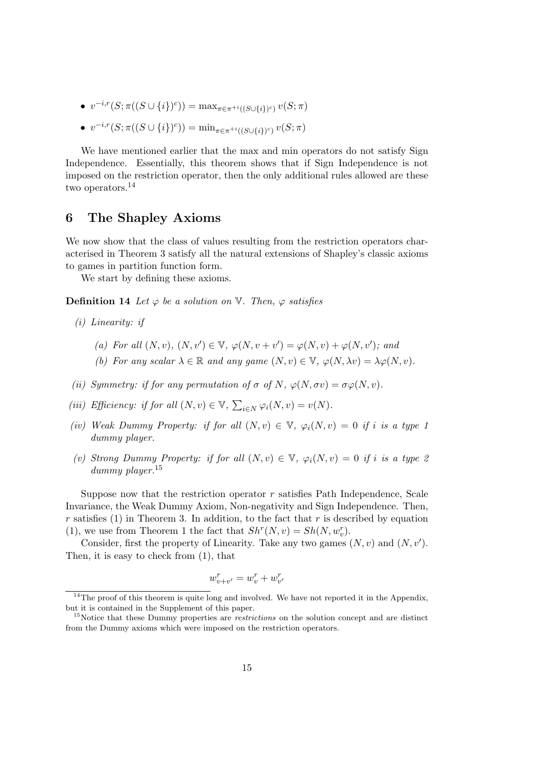- $v^{-i,r}(S; \pi((S \cup \{i\})^c)) = \max_{\pi \in \pi^{+i}((S \cup \{i\})^c)} v(S; \pi)$
- $v^{-i,r}(S; \pi((S \cup \{i\})^c)) = \min_{\pi \in \pi^{+i}((S \cup \{i\})^c)} v(S; \pi)$

We have mentioned earlier that the max and min operators do not satisfy Sign Independence. Essentially, this theorem shows that if Sign Independence is not imposed on the restriction operator, then the only additional rules allowed are these two operators.<sup>14</sup>

## 6 The Shapley Axioms

We now show that the class of values resulting from the restriction operators characterised in Theorem 3 satisfy all the natural extensions of Shapley's classic axioms to games in partition function form.

We start by defining these axioms.

**Definition 14** Let  $\varphi$  be a solution on  $\mathbb{V}$ . Then,  $\varphi$  satisfies

- (i) Linearity: if
	- (a) For all  $(N, v), (N, v') \in V, \varphi(N, v + v') = \varphi(N, v) + \varphi(N, v');$  and
	- (b) For any scalar  $\lambda \in \mathbb{R}$  and any game  $(N, v) \in \mathbb{V}$ ,  $\varphi(N, \lambda v) = \lambda \varphi(N, v)$ .
- (ii) Symmetry: if for any permutation of  $\sigma$  of N,  $\varphi(N,\sigma v) = \sigma \varphi(N,v)$ .
- (iii) Efficiency: if for all  $(N, v) \in V$ ,  $\sum_{i \in N} \varphi_i(N, v) = v(N)$ .
- (iv) Weak Dummy Property: if for all  $(N, v) \in V$ ,  $\varphi_i(N, v) = 0$  if i is a type 1 dummy player.
- (v) Strong Dummy Property: if for all  $(N, v) \in V$ ,  $\varphi_i(N, v) = 0$  if i is a type 2 dummy player.<sup>15</sup>

Suppose now that the restriction operator  $r$  satisfies Path Independence, Scale Invariance, the Weak Dummy Axiom, Non-negativity and Sign Independence. Then, r satisfies (1) in Theorem 3. In addition, to the fact that r is described by equation (1), we use from Theorem 1 the fact that  $Sh^{r}(N, v) = Sh(N, w_{v}^{r})$ .

Consider, first the property of Linearity. Take any two games  $(N, v)$  and  $(N, v')$ . Then, it is easy to check from (1), that

$$
w_{v+v'}^r = w_v^r + w_{v'}^r
$$

 $14$ The proof of this theorem is quite long and involved. We have not reported it in the Appendix, but it is contained in the Supplement of this paper.

<sup>&</sup>lt;sup>15</sup>Notice that these Dummy properties are *restrictions* on the solution concept and are distinct from the Dummy axioms which were imposed on the restriction operators.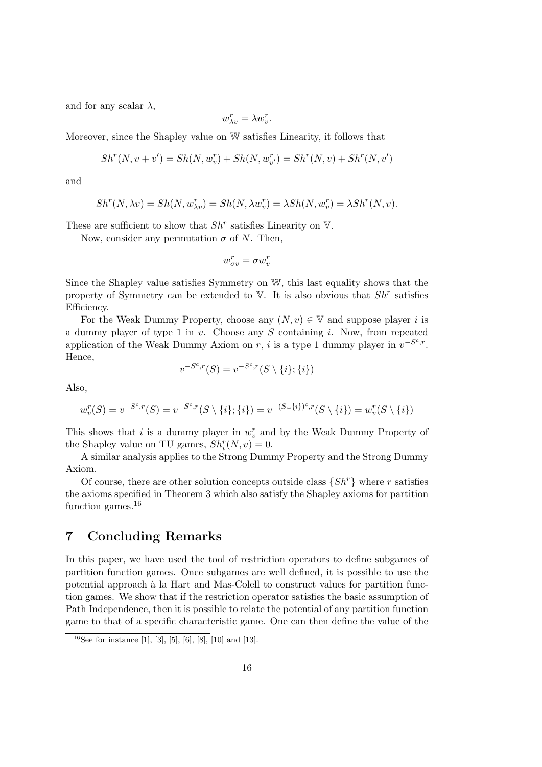and for any scalar  $\lambda$ ,

$$
w_{\lambda v}^r = \lambda w_v^r.
$$

Moreover, since the Shapley value on W satisfies Linearity, it follows that

$$
Sh^{r}(N, v + v') = Sh(N, w_{v}^{r}) + Sh(N, w_{v'}^{r}) = Sh^{r}(N, v) + Sh^{r}(N, v')
$$

and

$$
Sh^{r}(N, \lambda v) = Sh(N, w_{\lambda v}^{r}) = Sh(N, \lambda w_{v}^{r}) = \lambda Sh(N, w_{v}^{r}) = \lambda Sh^{r}(N, v).
$$

These are sufficient to show that  $Sh^r$  satisfies Linearity on  $V$ .

Now, consider any permutation  $\sigma$  of N. Then,

$$
w_{\sigma v}^r = \sigma w_v^r
$$

Since the Shapley value satisfies Symmetry on W, this last equality shows that the property of Symmetry can be extended to  $V$ . It is also obvious that  $Sh<sup>r</sup>$  satisfies Efficiency.

For the Weak Dummy Property, choose any  $(N, v) \in V$  and suppose player i is a dummy player of type 1 in  $v$ . Choose any S containing i. Now, from repeated application of the Weak Dummy Axiom on r, i is a type 1 dummy player in  $v^{-S^c,r}$ . Hence,

$$
v^{-S^c,r}(S) = v^{-S^c,r}(S \setminus \{i\}; \{i\})
$$

Also,

$$
w_v^r(S) = v^{-S^c,r}(S) = v^{-S^c,r}(S \setminus \{i\}; \{i\}) = v^{-(S \cup \{i\})^c,r}(S \setminus \{i\}) = w_v^r(S \setminus \{i\})
$$

This shows that i is a dummy player in  $w_v^r$  and by the Weak Dummy Property of the Shapley value on TU games,  $Sh_i^r(N, v) = 0$ .

A similar analysis applies to the Strong Dummy Property and the Strong Dummy Axiom.

Of course, there are other solution concepts outside class  $\{Sh^r\}$  where r satisfies the axioms specified in Theorem 3 which also satisfy the Shapley axioms for partition function games.<sup>16</sup>

## 7 Concluding Remarks

In this paper, we have used the tool of restriction operators to define subgames of partition function games. Once subgames are well defined, it is possible to use the potential approach à la Hart and Mas-Colell to construct values for partition function games. We show that if the restriction operator satisfies the basic assumption of Path Independence, then it is possible to relate the potential of any partition function game to that of a specific characteristic game. One can then define the value of the

<sup>&</sup>lt;sup>16</sup>See for instance [1], [3], [5], [6], [8], [10] and [13].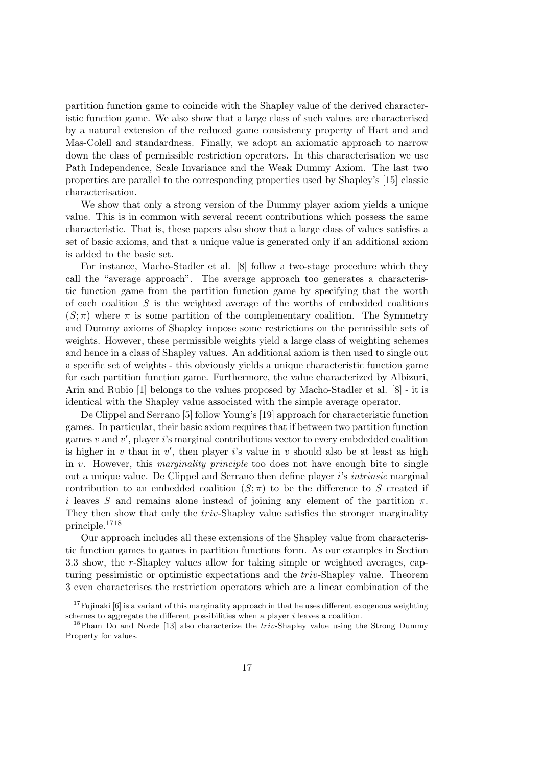partition function game to coincide with the Shapley value of the derived characteristic function game. We also show that a large class of such values are characterised by a natural extension of the reduced game consistency property of Hart and and Mas-Colell and standardness. Finally, we adopt an axiomatic approach to narrow down the class of permissible restriction operators. In this characterisation we use Path Independence, Scale Invariance and the Weak Dummy Axiom. The last two properties are parallel to the corresponding properties used by Shapley's [15] classic characterisation.

We show that only a strong version of the Dummy player axiom yields a unique value. This is in common with several recent contributions which possess the same characteristic. That is, these papers also show that a large class of values satisfies a set of basic axioms, and that a unique value is generated only if an additional axiom is added to the basic set.

For instance, Macho-Stadler et al. [8] follow a two-stage procedure which they call the "average approach". The average approach too generates a characteristic function game from the partition function game by specifying that the worth of each coalition  $S$  is the weighted average of the worths of embedded coalitions  $(S; \pi)$  where  $\pi$  is some partition of the complementary coalition. The Symmetry and Dummy axioms of Shapley impose some restrictions on the permissible sets of weights. However, these permissible weights yield a large class of weighting schemes and hence in a class of Shapley values. An additional axiom is then used to single out a specific set of weights - this obviously yields a unique characteristic function game for each partition function game. Furthermore, the value characterized by Albizuri, Arin and Rubio [1] belongs to the values proposed by Macho-Stadler et al. [8] - it is identical with the Shapley value associated with the simple average operator.

De Clippel and Serrano [5] follow Young's [19] approach for characteristic function games. In particular, their basic axiom requires that if between two partition function games  $v$  and  $v'$ , player i's marginal contributions vector to every embdedded coalition is higher in  $v$  than in  $v'$ , then player is value in  $v$  should also be at least as high in v. However, this *marginality principle* too does not have enough bite to single out a unique value. De Clippel and Serrano then define player i's intrinsic marginal contribution to an embedded coalition  $(S; \pi)$  to be the difference to S created if i leaves S and remains alone instead of joining any element of the partition  $\pi$ . They then show that only the *triv*-Shapley value satisfies the stronger marginality principle.<sup>1718</sup>

Our approach includes all these extensions of the Shapley value from characteristic function games to games in partition functions form. As our examples in Section 3.3 show, the r-Shapley values allow for taking simple or weighted averages, capturing pessimistic or optimistic expectations and the triv-Shapley value. Theorem 3 even characterises the restriction operators which are a linear combination of the

<sup>&</sup>lt;sup>17</sup>Fujinaki [6] is a variant of this marginality approach in that he uses different exogenous weighting schemes to aggregate the different possibilities when a player  $i$  leaves a coalition.

<sup>&</sup>lt;sup>18</sup>Pham Do and Norde [13] also characterize the *triv*-Shapley value using the Strong Dummy Property for values.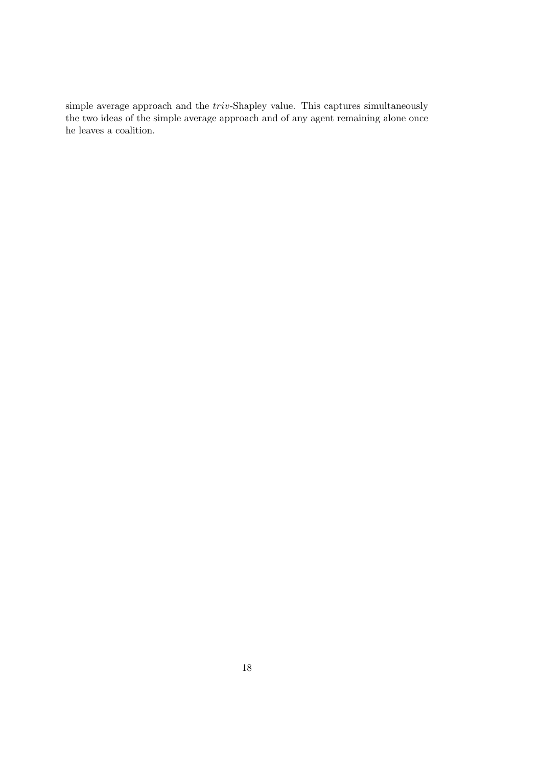simple average approach and the triv-Shapley value. This captures simultaneously the two ideas of the simple average approach and of any agent remaining alone once he leaves a coalition.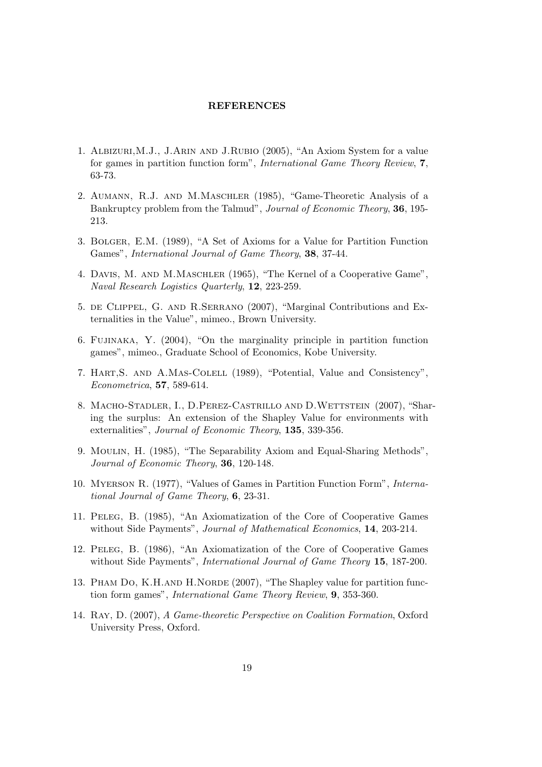## **REFERENCES**

- 1. Albizuri,M.J., J.Arin and J.Rubio (2005), "An Axiom System for a value for games in partition function form", International Game Theory Review, 7, 63-73.
- 2. Aumann, R.J. and M.Maschler (1985), "Game-Theoretic Analysis of a Bankruptcy problem from the Talmud", Journal of Economic Theory, 36, 195- 213.
- 3. Bolger, E.M. (1989), "A Set of Axioms for a Value for Partition Function Games", International Journal of Game Theory, 38, 37-44.
- 4. Davis, M. and M.Maschler (1965), "The Kernel of a Cooperative Game", Naval Research Logistics Quarterly, 12, 223-259.
- 5. de Clippel, G. and R.Serrano (2007), "Marginal Contributions and Externalities in the Value", mimeo., Brown University.
- 6. Fujinaka, Y. (2004), "On the marginality principle in partition function games", mimeo., Graduate School of Economics, Kobe University.
- 7. Hart,S. and A.Mas-Colell (1989), "Potential, Value and Consistency", Econometrica, 57, 589-614.
- 8. Macho-Stadler, I., D.Perez-Castrillo and D.Wettstein (2007), "Sharing the surplus: An extension of the Shapley Value for environments with externalities", Journal of Economic Theory, 135, 339-356.
- 9. Moulin, H. (1985), "The Separability Axiom and Equal-Sharing Methods", Journal of Economic Theory, 36, 120-148.
- 10. Myerson R. (1977), "Values of Games in Partition Function Form", International Journal of Game Theory, 6, 23-31.
- 11. Peleg, B. (1985), "An Axiomatization of the Core of Cooperative Games without Side Payments", Journal of Mathematical Economics, 14, 203-214.
- 12. Peleg, B. (1986), "An Axiomatization of the Core of Cooperative Games without Side Payments", *International Journal of Game Theory* 15, 187-200.
- 13. PHAM DO, K.H.AND H.NORDE (2007), "The Shapley value for partition function form games", International Game Theory Review, 9, 353-360.
- 14. Ray, D. (2007), A Game-theoretic Perspective on Coalition Formation, Oxford University Press, Oxford.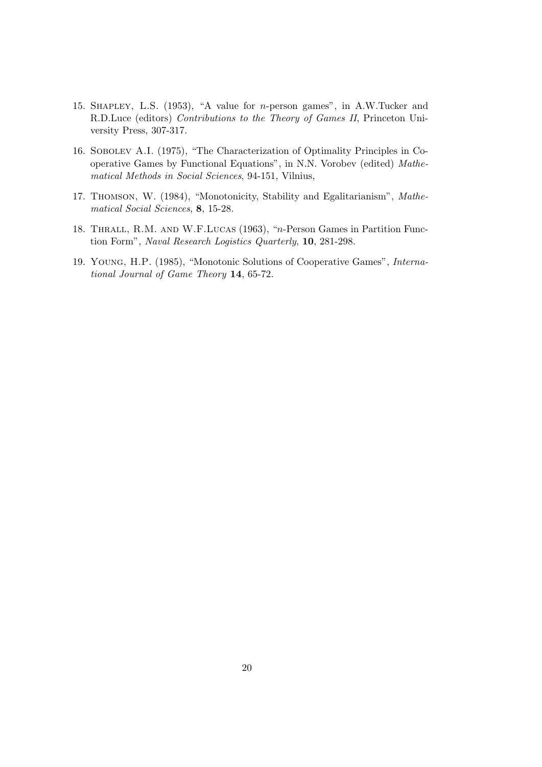- 15. Shapley, L.S. (1953), "A value for n-person games", in A.W.Tucker and R.D.Luce (editors) Contributions to the Theory of Games II, Princeton University Press, 307-317.
- 16. Sobolev A.I. (1975), "The Characterization of Optimality Principles in Cooperative Games by Functional Equations", in N.N. Vorobev (edited) Mathematical Methods in Social Sciences, 94-151, Vilnius,
- 17. Thomson, W. (1984), "Monotonicity, Stability and Egalitarianism", Mathematical Social Sciences, 8, 15-28.
- 18. Thrall, R.M. and W.F.Lucas (1963), "n-Person Games in Partition Function Form", Naval Research Logistics Quarterly, 10, 281-298.
- 19. Young, H.P. (1985), "Monotonic Solutions of Cooperative Games", International Journal of Game Theory 14, 65-72.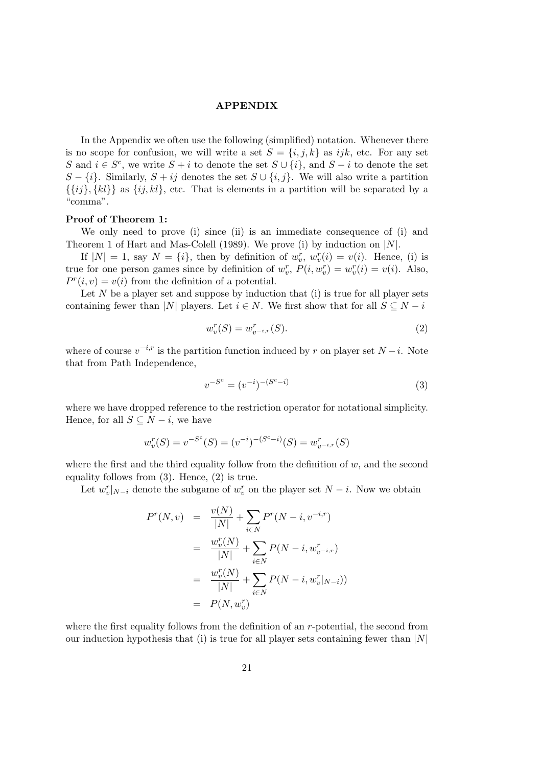## APPENDIX

In the Appendix we often use the following (simplified) notation. Whenever there is no scope for confusion, we will write a set  $S = \{i, j, k\}$  as ijk, etc. For any set S and  $i \in S^c$ , we write  $S + i$  to denote the set  $S \cup \{i\}$ , and  $S - i$  to denote the set  $S - \{i\}$ . Similarly,  $S + ij$  denotes the set  $S \cup \{i, j\}$ . We will also write a partition  $\{\{ij\}, \{kl\}\}\$ as  $\{ij, kl\}$ , etc. That is elements in a partition will be separated by a "comma".

#### Proof of Theorem 1:

We only need to prove (i) since (ii) is an immediate consequence of (i) and Theorem 1 of Hart and Mas-Colell (1989). We prove (i) by induction on  $|N|$ .

If  $|N| = 1$ , say  $N = \{i\}$ , then by definition of  $w_v^r$ ,  $w_v^r(i) = v(i)$ . Hence, (i) is true for one person games since by definition of  $w_v^r$ ,  $P(i, w_v^r) = w_v^r(i) = v(i)$ . Also,  $P^{r}(i, v) = v(i)$  from the definition of a potential.

Let  $N$  be a player set and suppose by induction that (i) is true for all player sets containing fewer than |N| players. Let  $i \in N$ . We first show that for all  $S \subseteq N - i$ 

$$
w_v^r(S) = w_{v^{-i,r}}^r(S).
$$
\n(2)

where of course  $v^{-i,r}$  is the partition function induced by r on player set  $N-i$ . Note that from Path Independence,

$$
v^{-S^c} = (v^{-i})^{-(S^c - i)}
$$
\n(3)

where we have dropped reference to the restriction operator for notational simplicity. Hence, for all  $S \subseteq N - i$ , we have

$$
w_v^r(S) = v^{-S^c}(S) = (v^{-i})^{-(S^c - i)}(S) = w_{v^{-i},r}^r(S)
$$

where the first and the third equality follow from the definition of  $w$ , and the second equality follows from (3). Hence, (2) is true.

Let  $w_v^r|_{N-i}$  denote the subgame of  $w_v^r$  on the player set  $N-i$ . Now we obtain

$$
P^{r}(N, v) = \frac{v(N)}{|N|} + \sum_{i \in N} P^{r}(N - i, v^{-i,r})
$$
  
= 
$$
\frac{w_{v}^{r}(N)}{|N|} + \sum_{i \in N} P(N - i, w_{v^{-i,r}}^{r})
$$
  
= 
$$
\frac{w_{v}^{r}(N)}{|N|} + \sum_{i \in N} P(N - i, w_{v}^{r}|_{N-i}))
$$
  
= 
$$
P(N, w_{v}^{r})
$$

where the first equality follows from the definition of an  $r$ -potential, the second from our induction hypothesis that (i) is true for all player sets containing fewer than  $|N|$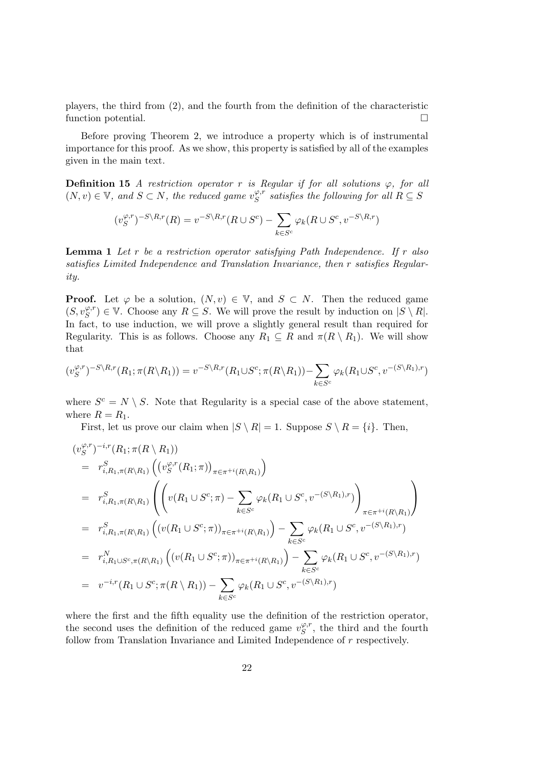players, the third from (2), and the fourth from the definition of the characteristic function potential.

Before proving Theorem 2, we introduce a property which is of instrumental importance for this proof. As we show, this property is satisfied by all of the examples given in the main text.

**Definition 15** A restriction operator r is Regular if for all solutions  $\varphi$ , for all  $(N, v) \in \mathbb{V}$ , and  $S \subset N$ , the reduced game  $v_S^{\varphi, r}$  $S^{{\varphi,r}}$  satisfies the following for all  $R \subseteq S$ 

$$
(v_S^{\varphi,r})^{-S\setminus R,r}(R) = v^{-S\setminus R,r}(R\cup S^c) - \sum_{k\in S^c} \varphi_k(R\cup S^c, v^{-S\setminus R,r})
$$

**Lemma 1** Let  $r$  be a restriction operator satisfying Path Independence. If  $r$  also satisfies Limited Independence and Translation Invariance, then r satisfies Regularity.

**Proof.** Let  $\varphi$  be a solution,  $(N, v) \in \mathbb{V}$ , and  $S \subset N$ . Then the reduced game  $(S, v_S^{\varphi,r}) \in \mathbb{V}$ . Choose any  $R \subseteq S$ . We will prove the result by induction on  $|S \setminus R|$ . In fact, to use induction, we will prove a slightly general result than required for Regularity. This is as follows. Choose any  $R_1 \subseteq R$  and  $\pi(R \setminus R_1)$ . We will show that

$$
(v_S^{\varphi,r})^{-S\setminus R,r}(R_1;\pi(R\setminus R_1))=v^{-S\setminus R,r}(R_1\cup S^c;\pi(R\setminus R_1))-\sum_{k\in S^c}\varphi_k(R_1\cup S^c,v^{-(S\setminus R_1),r})
$$

where  $S^c = N \setminus S$ . Note that Regularity is a special case of the above statement, where  $R = R_1$ .

First, let us prove our claim when  $|S \setminus R| = 1$ . Suppose  $S \setminus R = \{i\}$ . Then,

$$
(v_S^{\varphi,r})^{-i,r}(R_1; \pi(R \setminus R_1))
$$
\n
$$
= r_{i,R_1,\pi(R \setminus R_1)}^S \left( (v_S^{\varphi,r}(R_1; \pi))_{\pi \in \pi^{+i}(R \setminus R_1)} \right)
$$
\n
$$
= r_{i,R_1,\pi(R \setminus R_1)}^S \left( \left( v(R_1 \cup S^c; \pi) - \sum_{k \in S^c} \varphi_k(R_1 \cup S^c, v^{-(S \setminus R_1),r}) \right)_{\pi \in \pi^{+i}(R \setminus R_1)} \right)
$$
\n
$$
= r_{i,R_1,\pi(R \setminus R_1)}^S \left( (v(R_1 \cup S^c; \pi))_{\pi \in \pi^{+i}(R \setminus R_1)} \right) - \sum_{k \in S^c} \varphi_k(R_1 \cup S^c, v^{-(S \setminus R_1),r})
$$
\n
$$
= r_{i,R_1 \cup S^c, \pi(R \setminus R_1)}^N \left( (v(R_1 \cup S^c; \pi))_{\pi \in \pi^{+i}(R \setminus R_1)} \right) - \sum_{k \in S^c} \varphi_k(R_1 \cup S^c, v^{-(S \setminus R_1),r})
$$
\n
$$
= v^{-i,r}(R_1 \cup S^c; \pi(R \setminus R_1)) - \sum_{k \in S^c} \varphi_k(R_1 \cup S^c, v^{-(S \setminus R_1),r})
$$

where the first and the fifth equality use the definition of the restriction operator, the second uses the definition of the reduced game  $v_S^{\varphi,r}$  $S^{^{\varphi,r}}$ , the third and the fourth follow from Translation Invariance and Limited Independence of r respectively.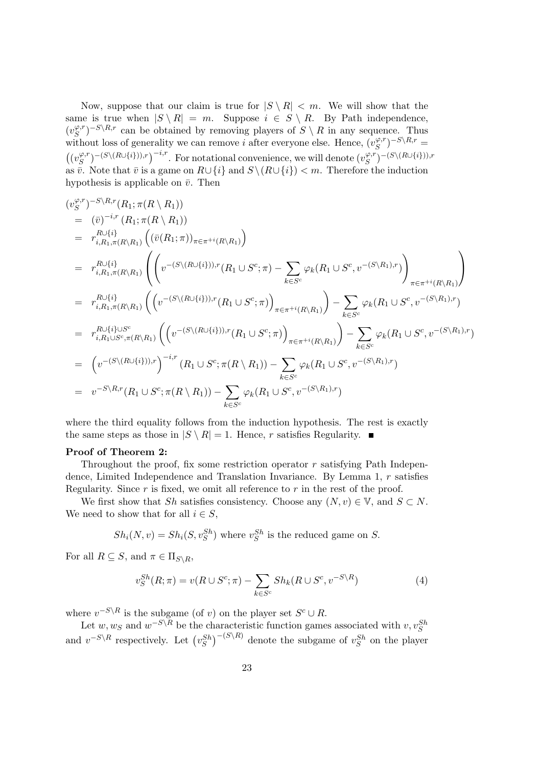Now, suppose that our claim is true for  $|S \setminus R| < m$ . We will show that the same is true when  $|S \setminus R| = m$ . Suppose  $i \in S \setminus R$ . By Path independence,  $(v_S^{\varphi,r})$  $(S^{(S)})^{-S\setminus R,r}$  can be obtained by removing players of  $S\setminus R$  in any sequence. Thus without loss of generality we can remove *i* after everyone else. Hence,  $(v_S^{\varphi,r})$  $(S^{(S,r)}S^{-S\setminus R,r}=$  $((v_S^{\varphi,r})$  $(S^{(S, r)}(S \cup \{i\})), r)$ <sup>-i,r</sup>. For notational convenience, we will denote  $(v_S^{\varphi, r})$  $(S^{(S,\mathcal{T})-(S\setminus(R\cup\{i\})),r})$ as  $\overline{v}$ . Note that  $\overline{v}$  is a game on  $R\cup\{i\}$  and  $S\setminus(R\cup\{i\}) < m$ . Therefore the induction hypothesis is applicable on  $\bar{v}$ . Then

$$
(v_S^{\varphi,r})^{-S\setminus R,r}(R_1; \pi(R\setminus R_1))
$$
  
\n
$$
= (\bar{v})^{-i,r}(R_1; \pi(R\setminus R_1))
$$
  
\n
$$
= r_{i,R_1,\pi(R\setminus R_1)}^{R\cup\{i\}} \left( (\bar{v}(R_1; \pi))_{\pi \in \pi^{+i}(R\setminus R_1)} \right)
$$
  
\n
$$
= r_{i,R_1,\pi(R\setminus R_1)}^{R\cup\{i\}} \left( \left( v^{-(S\setminus (R\cup\{i\})),r}(R_1 \cup S^c; \pi) - \sum_{k \in S^c} \varphi_k(R_1 \cup S^c, v^{-(S\setminus R_1),r}) \right)_{\pi \in \pi^{+i}(R\setminus R_1)} \right)
$$
  
\n
$$
= r_{i,R_1,\pi(R\setminus R_1)}^{R\cup\{i\}} \left( \left( v^{-(S\setminus (R\cup\{i\})),r}(R_1 \cup S^c; \pi) \right)_{\pi \in \pi^{+i}(R\setminus R_1)} \right) - \sum_{k \in S^c} \varphi_k(R_1 \cup S^c, v^{-(S\setminus R_1),r})
$$
  
\n
$$
= r_{i,R_1\cup S^c,\pi(R\setminus R_1)}^{R\cup\{i\} \cup S^c} \left( \left( v^{-(S\setminus (R\cup\{i\})),r}(R_1 \cup S^c; \pi) \right)_{\pi \in \pi^{+i}(R\setminus R_1)} \right) - \sum_{k \in S^c} \varphi_k(R_1 \cup S^c, v^{-(S\setminus R_1),r})
$$
  
\n
$$
= \left( v^{-(S\setminus (R\cup\{i\})),r} \right)^{-i,r}(R_1 \cup S^c; \pi(R\setminus R_1)) - \sum_{k \in S^c} \varphi_k(R_1 \cup S^c, v^{-(S\setminus R_1),r})
$$
  
\n
$$
= v^{-S\setminus R,r}(R_1 \cup S^c; \pi(R\setminus R_1)) - \sum_{k \in S^c} \varphi_k(R_1 \cup S^c, v^{-(S\setminus R_1),r})
$$

where the third equality follows from the induction hypothesis. The rest is exactly the same steps as those in  $|S \setminus R| = 1$ . Hence, r satisfies Regularity.

#### Proof of Theorem 2:

Throughout the proof, fix some restriction operator  $r$  satisfying Path Independence, Limited Independence and Translation Invariance. By Lemma 1, r satisfies Regularity. Since  $r$  is fixed, we omit all reference to  $r$  in the rest of the proof.

We first show that Sh satisfies consistency. Choose any  $(N, v) \in V$ , and  $S \subset N$ . We need to show that for all  $i \in S$ ,

$$
Sh_i(N, v) = Sh_i(S, v_S^{Sh})
$$
 where  $v_S^{Sh}$  is the reduced game on S.

For all  $R \subseteq S$ , and  $\pi \in \Pi_{S \setminus R}$ ,

$$
v_S^{Sh}(R; \pi) = v(R \cup S^c; \pi) - \sum_{k \in S^c} Sh_k(R \cup S^c, v^{-S \setminus R}) \tag{4}
$$

where  $v^{-S\setminus R}$  is the subgame (of v) on the player set  $S^c \cup R$ .

Let  $w, w_S$  and  $w^{-S \setminus R}$  be the characteristic function games associated with  $v, v_S^{Sh}$ and  $v^{-S\setminus R}$  respectively. Let  $(v_S^{Sh})^{-(S\setminus R)}$  denote the subgame of  $v_S^{Sh}$  on the player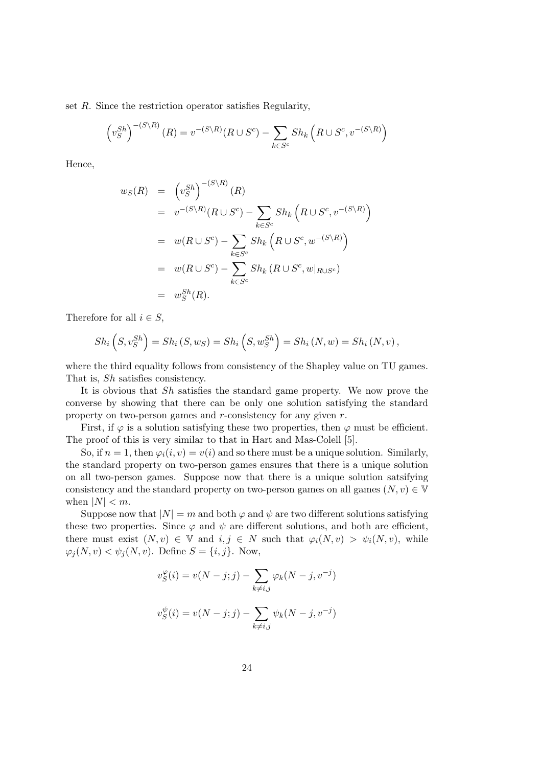set R. Since the restriction operator satisfies Regularity,

$$
\left(v_S^{Sh}\right)^{-(S\setminus R)}(R) = v^{-(S\setminus R)}(R \cup S^c) - \sum_{k \in S^c} Sh_k\left(R \cup S^c, v^{-(S\setminus R)}\right)
$$

Hence,

$$
w_S(R) = (v_S^{Sh})^{-(S \backslash R)}(R)
$$
  
\n
$$
= v^{-(S \backslash R)}(R \cup S^c) - \sum_{k \in S^c} Sh_k(R \cup S^c, v^{-(S \backslash R)})
$$
  
\n
$$
= w(R \cup S^c) - \sum_{k \in S^c} Sh_k(R \cup S^c, w^{-(S \backslash R)})
$$
  
\n
$$
= w(R \cup S^c) - \sum_{k \in S^c} Sh_k(R \cup S^c, w|_{R \cup S^c})
$$
  
\n
$$
= w_S^{Sh}(R).
$$

Therefore for all  $i \in S$ ,

$$
Sh_i\left(S, v_S^{Sh}\right) = Sh_i\left(S, w_S\right) = Sh_i\left(S, w_S^{Sh}\right) = Sh_i\left(N, w\right) = Sh_i\left(N, v\right),
$$

where the third equality follows from consistency of the Shapley value on TU games. That is, Sh satisfies consistency.

It is obvious that Sh satisfies the standard game property. We now prove the converse by showing that there can be only one solution satisfying the standard property on two-person games and r-consistency for any given r.

First, if  $\varphi$  is a solution satisfying these two properties, then  $\varphi$  must be efficient. The proof of this is very similar to that in Hart and Mas-Colell [5].

So, if  $n = 1$ , then  $\varphi_i(i, v) = v(i)$  and so there must be a unique solution. Similarly, the standard property on two-person games ensures that there is a unique solution on all two-person games. Suppose now that there is a unique solution satsifying consistency and the standard property on two-person games on all games  $(N, v) \in V$ when  $|N| < m$ .

Suppose now that  $|N| = m$  and both  $\varphi$  and  $\psi$  are two different solutions satisfying these two properties. Since  $\varphi$  and  $\psi$  are different solutions, and both are efficient, there must exist  $(N, v) \in V$  and  $i, j \in N$  such that  $\varphi_i(N, v) > \psi_i(N, v)$ , while  $\varphi_j(N, v) < \psi_j(N, v)$ . Define  $S = \{i, j\}$ . Now,

$$
v_S^{\varphi}(i) = v(N - j; j) - \sum_{k \neq i, j} \varphi_k(N - j, v^{-j})
$$

$$
v_S^{\psi}(i) = v(N - j; j) - \sum_{k \neq i,j} \psi_k(N - j, v^{-j})
$$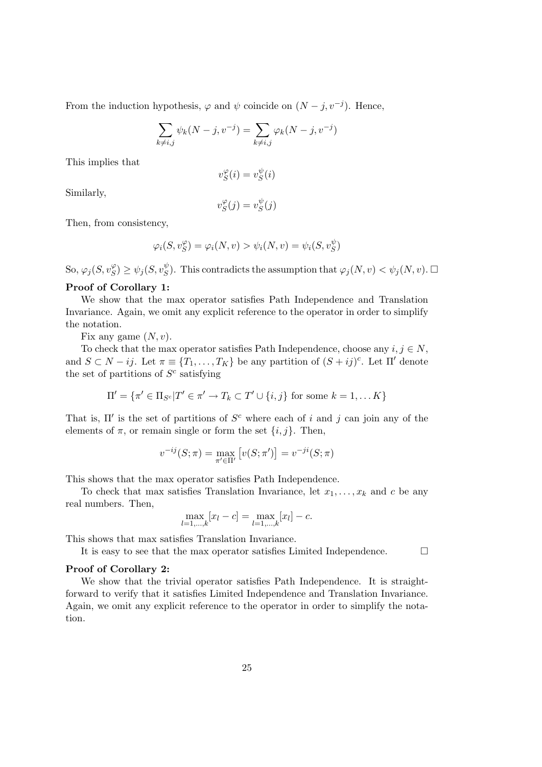From the induction hypothesis,  $\varphi$  and  $\psi$  coincide on  $(N - j, v^{-j})$ . Hence,

$$
\sum_{k \neq i,j} \psi_k(N-j, v^{-j}) = \sum_{k \neq i,j} \varphi_k(N-j, v^{-j})
$$

This implies that

$$
v_S^{\varphi}(i) = v_S^{\psi}(i)
$$

Similarly,

$$
v_S^{\varphi}(j) = v_S^{\psi}(j)
$$

Then, from consistency,

$$
\varphi_i(S, v_S^{\varphi}) = \varphi_i(N, v) > \psi_i(N, v) = \psi_i(S, v_S^{\psi})
$$

So,  $\varphi_j(S, v_S^{\varphi}) \ge \psi_j(S, v_S^{\psi})$ . This contradicts the assumption that  $\varphi_j(N, v) < \psi_j(N, v)$ .

## Proof of Corollary 1:

We show that the max operator satisfies Path Independence and Translation Invariance. Again, we omit any explicit reference to the operator in order to simplify the notation.

Fix any game  $(N, v)$ .

To check that the max operator satisfies Path Independence, choose any  $i, j \in N$ , and  $S \subset N - ij$ . Let  $\pi \equiv \{T_1, \ldots, T_K\}$  be any partition of  $(S + ij)^c$ . Let  $\Pi'$  denote the set of partitions of  $S<sup>c</sup>$  satisfying

$$
\Pi' = \{ \pi' \in \Pi_{S^c} | T' \in \pi' \to T_k \subset T' \cup \{i, j\} \text{ for some } k = 1, \dots K \}
$$

That is,  $\Pi'$  is the set of partitions of  $S^c$  where each of i and j can join any of the elements of  $\pi$ , or remain single or form the set  $\{i, j\}$ . Then,

$$
v^{-ij}(S; \pi) = \max_{\pi' \in \Pi'} [v(S; \pi')] = v^{-ji}(S; \pi)
$$

This shows that the max operator satisfies Path Independence.

To check that max satisfies Translation Invariance, let  $x_1, \ldots, x_k$  and c be any real numbers. Then,

$$
\max_{l=1,\dots,k} [x_l - c] = \max_{l=1,\dots,k} [x_l] - c.
$$

This shows that max satisfies Translation Invariance.

It is easy to see that the max operator satisfies Limited Independence.

#### Proof of Corollary 2:

We show that the trivial operator satisfies Path Independence. It is straightforward to verify that it satisfies Limited Independence and Translation Invariance. Again, we omit any explicit reference to the operator in order to simplify the notation.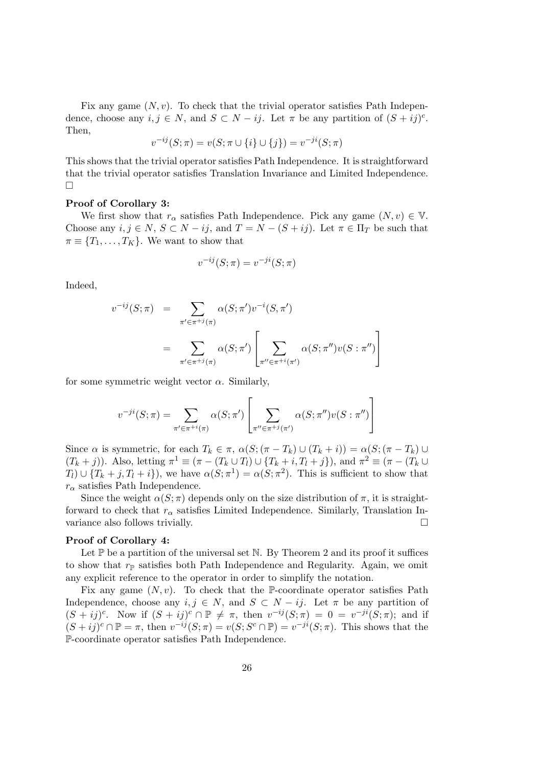Fix any game  $(N, v)$ . To check that the trivial operator satisfies Path Independence, choose any  $i, j \in N$ , and  $S \subset N - ij$ . Let  $\pi$  be any partition of  $(S + ij)^c$ . Then,

$$
v^{-ij}(S; \pi) = v(S; \pi \cup \{i\} \cup \{j\}) = v^{-ji}(S; \pi)
$$

This shows that the trivial operator satisfies Path Independence. It is straightforward that the trivial operator satisfies Translation Invariance and Limited Independence.  $\Box$ 

#### Proof of Corollary 3:

We first show that  $r_{\alpha}$  satisfies Path Independence. Pick any game  $(N, v) \in V$ . Choose any  $i, j \in N$ ,  $S \subset N - ij$ , and  $T = N - (S + ij)$ . Let  $\pi \in \Pi_T$  be such that  $\pi \equiv \{T_1, \ldots, T_K\}.$  We want to show that

$$
v^{-ij}(S;\pi) = v^{-ji}(S;\pi)
$$

Indeed,

$$
v^{-ij}(S;\pi) = \sum_{\pi' \in \pi^{+j}(\pi)} \alpha(S;\pi')v^{-i}(S,\pi')
$$
  
= 
$$
\sum_{\pi' \in \pi^{+j}(\pi)} \alpha(S;\pi') \left[ \sum_{\pi'' \in \pi^{+i}(\pi')} \alpha(S;\pi'')v(S:\pi'') \right]
$$

for some symmetric weight vector  $\alpha$ . Similarly,

$$
v^{-ji}(S;\pi) = \sum_{\pi' \in \pi^{+i}(\pi)} \alpha(S;\pi') \left[ \sum_{\pi'' \in \pi^{+j}(\pi')} \alpha(S;\pi'')v(S:\pi'') \right]
$$

Since  $\alpha$  is symmetric, for each  $T_k \in \pi$ ,  $\alpha(S; (\pi - T_k) \cup (T_k + i)) = \alpha(S; (\pi - T_k) \cup$  $(T_k + j)$ ). Also, letting  $\pi^1 \equiv (\pi - (T_k \cup T_l) \cup \{T_k + i, T_l + j\})$ , and  $\pi^2 \equiv (\pi - (T_k \cup T_l) \cup T_l)$  $T_l$ )  $\cup$   $\{T_k + j, T_l + i\}$ , we have  $\alpha(S; \pi^1) = \alpha(S; \pi^2)$ . This is sufficient to show that  $r_{\alpha}$  satisfies Path Independence.

Since the weight  $\alpha(S;\pi)$  depends only on the size distribution of  $\pi$ , it is straightforward to check that  $r_{\alpha}$  satisfies Limited Independence. Similarly, Translation Invariance also follows trivially.

## Proof of Corollary 4:

Let  $\mathbb P$  be a partition of the universal set N. By Theorem 2 and its proof it suffices to show that  $r_{\mathbb{P}}$  satisfies both Path Independence and Regularity. Again, we omit any explicit reference to the operator in order to simplify the notation.

Fix any game  $(N, v)$ . To check that the P-coordinate operator satisfies Path Independence, choose any  $i, j \in N$ , and  $S \subset N - ij$ . Let  $\pi$  be any partition of  $(S + ij)^c$ . Now if  $(S + ij)^c \cap \mathbb{P} \neq \pi$ , then  $v^{-ij}(S;\pi) = 0 = v^{-ji}(S;\pi)$ ; and if  $(S+ij)^c \cap \mathbb{P} = \pi$ , then  $v^{-ij}(S;\pi) = v(S;S^c \cap \mathbb{P}) = v^{-ji}(S;\pi)$ . This shows that the P-coordinate operator satisfies Path Independence.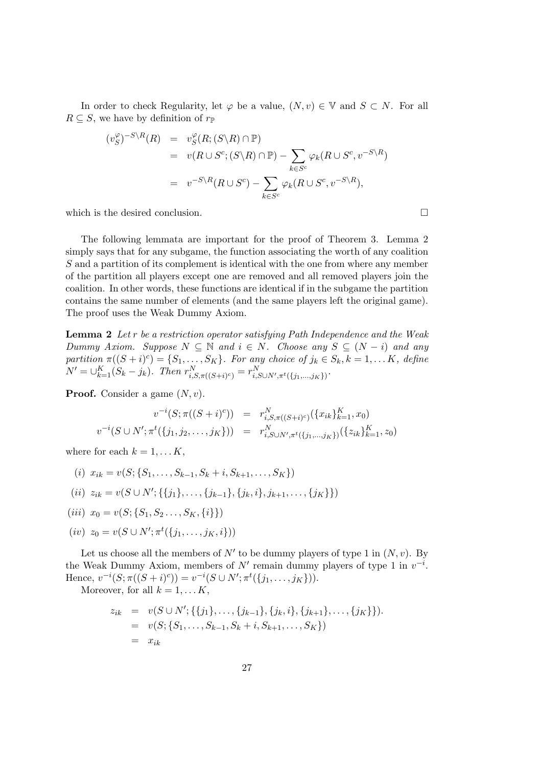In order to check Regularity, let  $\varphi$  be a value,  $(N, v) \in \mathbb{V}$  and  $S \subset N$ . For all  $R \subseteq S$ , we have by definition of  $r_{\mathbb{P}}$ 

$$
(v_S^{\varphi})^{-S \backslash R}(R) = v_S^{\varphi}(R; (S \backslash R) \cap \mathbb{P})
$$
  
=  $v(R \cup S^c; (S \backslash R) \cap \mathbb{P}) - \sum_{k \in S^c} \varphi_k(R \cup S^c, v^{-S \backslash R})$   
=  $v^{-S \backslash R}(R \cup S^c) - \sum_{k \in S^c} \varphi_k(R \cup S^c, v^{-S \backslash R}),$ 

which is the desired conclusion.  $\Box$ 

The following lemmata are important for the proof of Theorem 3. Lemma 2 simply says that for any subgame, the function associating the worth of any coalition S and a partition of its complement is identical with the one from where any member of the partition all players except one are removed and all removed players join the coalition. In other words, these functions are identical if in the subgame the partition contains the same number of elements (and the same players left the original game). The proof uses the Weak Dummy Axiom.

Lemma 2 Let r be a restriction operator satisfying Path Independence and the Weak Dummy Axiom. Suppose  $N \subseteq \mathbb{N}$  and  $i \in N$ . Choose any  $S \subseteq (N - i)$  and any partition  $\pi((S + i)^c) = \{S_1, \ldots, S_K\}$ . For any choice of  $j_k \in S_k, k = 1, \ldots K$ , define  $N' = \bigcup_{k=1}^{K} (S_k - j_k)$ . Then  $r_{i, S, \pi((S+i)^c)}^N = r_{i, S \cup N', \pi^t(\{j_1, ..., j_K\})}^N$ .

**Proof.** Consider a game  $(N, v)$ .

$$
v^{-i}(S; \pi((S+i)^c)) = r_{i, S, \pi((S+i)^c)}^N(\{x_{ik}\}_{k=1}^K, x_0)
$$
  

$$
v^{-i}(S \cup N'; \pi^t(\{j_1, j_2, \dots, j_K\})) = r_{i, S \cup N', \pi^t(\{j_1, \dots, j_K\})}^N(\{z_{ik}\}_{k=1}^K, z_0)
$$

where for each  $k = 1, \ldots K$ ,

- (i)  $x_{ik} = v(S; \{S_1, \ldots, S_{k-1}, S_k + i, S_{k+1}, \ldots, S_K\})$
- $(ii)$   $z_{ik} = v(S \cup N'; \{\{j_1\}, \ldots, \{j_{k-1}\}, \{j_k, i\}, j_{k+1}, \ldots, \{j_K\}\})$
- (iii)  $x_0 = v(S; \{S_1, S_2, \ldots, S_K, \{i\}\})$
- $(iv)$   $z_0 = v(S \cup N'; \pi^t(\{j_1, \ldots, j_K, i\}))$

Let us choose all the members of  $N'$  to be dummy players of type 1 in  $(N, v)$ . By the Weak Dummy Axiom, members of  $N'$  remain dummy players of type 1 in  $v^{-i}$ . Hence,  $v^{-i}(S; \pi((S+i)^c)) = v^{-i}(S \cup N'; \pi^t(\{j_1, \ldots, j_K\})).$ 

Moreover, for all  $k = 1, \dots K$ ,

$$
z_{ik} = v(S \cup N'; \{\{j_1\}, \dots, \{j_{k-1}\}, \{j_k, i\}, \{j_{k+1}\}, \dots, \{j_K\}\}).
$$
  
=  $v(S; \{S_1, \dots, S_{k-1}, S_k + i, S_{k+1}, \dots, S_K\})$   
=  $x_{ik}$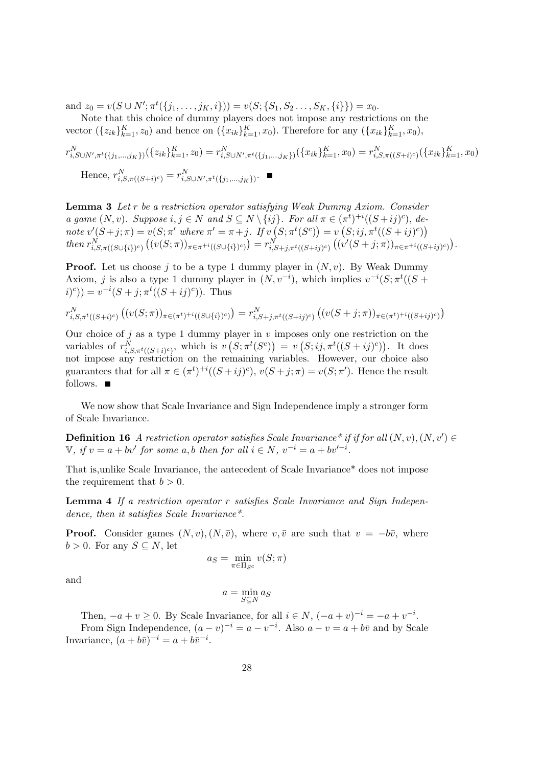and  $z_0 = v(S \cup N'; \pi^t(\{j_1, \ldots, j_K, i\})) = v(S; \{S_1, S_2, \ldots, S_K, \{i\}) = x_0.$ 

Note that this choice of dummy players does not impose any restrictions on the vector  $({z_{ik}}_{k=1}^K, z_0)$  and hence on  $({x_{ik}}_{k=1}^K, x_0)$ . Therefore for any  $({x_{ik}}_{k=1}^K, x_0)$ ,

$$
r_{i,S\cup N',\pi^t(\{j_1,\ldots,j_K\})}^N(\{z_{ik}\}_{k=1}^K, z_0) = r_{i,S\cup N',\pi^t(\{j_1,\ldots,j_K\})}^N(\{x_{ik}\}_{k=1}^K, x_0) = r_{i,S,\pi((S+i)^c)}^N(\{x_{ik}\}_{k=1}^K, x_0)
$$
  
Hence, 
$$
r_{i,S,\pi((S+i)^c)}^N = r_{i,S\cup N',\pi^t(\{j_1,\ldots,j_K\})}^N.
$$

Lemma 3 Let r be a restriction operator satisfying Weak Dummy Axiom. Consider a game  $(N, v)$ . Suppose  $i, j \in N$  and  $S \subseteq N \setminus \{ij\}$ . For all  $\pi \in (\pi^t)^{+i}((S + ij)^c)$ , denote  $v'(S+j;\pi) = v(S;\pi'$  where  $\pi' = \pi + j$ . If  $v(S;\pi^t(S^c)) = v(S;ij,\pi^t((S + ij)^c))$  $then \ r_{i,S,\pi((S\cup\{i\})^c)}^N((v(S;\pi))_{\pi \in \pi^{+i}((S\cup\{i\})^c)})=r_{i,S+j,\pi^t((S+ij)^c)}^N((v'(S+j;\pi))_{\pi \in \pi^{+i}((S+ij)^c)}).$ 

**Proof.** Let us choose j to be a type 1 dummy player in  $(N, v)$ . By Weak Dummy Axiom, j is also a type 1 dummy player in  $(N, v^{-i})$ , which implies  $v^{-i}(S; \pi^t((S +$  $(i)^c$ ) =  $v^{-i}(S + j; \pi^t((S + ij)^c))$ . Thus

$$
r_{i,S,\pi^t((S+i)^c)}^N((v(S;\pi))_{\pi \in (\pi^t)^{+i}((S \cup \{i\})^c)}) = r_{i,S+j,\pi^t((S+i j)^c)}^N((v(S+j;\pi))_{\pi \in (\pi^t)^{+i}((S+i j)^c)})
$$

Our choice of j as a type 1 dummy player in v imposes only one restriction on the variables of  $r_{i,S,\pi^t((S+i)^c)}^N$ , which is  $v(S;\pi^t(S^c)) = v(S;ij,\pi^t((S+i j)^c))$ . It does not impose any restriction on the remaining variables. However, our choice also guarantees that for all  $\pi \in (\pi^t)^{+i}((S+i j)^c), v(S+j;\pi) = v(S;\pi').$  Hence the result follows.  $\blacksquare$ 

We now show that Scale Invariance and Sign Independence imply a stronger form of Scale Invariance.

**Definition 16** A restriction operator satisfies Scale Invariance<sup>\*</sup> if if for all  $(N, v), (N, v') \in$  $\mathbb{V},$  if  $v = a + bv'$  for some a, b then for all  $i \in N, v^{-i} = a + bv'^{-i}$ .

That is,unlike Scale Invariance, the antecedent of Scale Invariance\* does not impose the requirement that  $b > 0$ .

Lemma 4 If a restriction operator r satisfies Scale Invariance and Sign Independence, then it satisfies Scale Invariance<sup>\*</sup>.

**Proof.** Consider games  $(N, v), (N, \bar{v})$ , where  $v, \bar{v}$  are such that  $v = -b\bar{v}$ , where  $b > 0$ . For any  $S \subseteq N$ , let

$$
a_S = \min_{\pi \in \Pi_{S^c}} v(S; \pi)
$$

and

$$
a = \min_{S \subseteq N} a_S
$$

Then,  $-a + v \geq 0$ . By Scale Invariance, for all  $i \in N$ ,  $(-a + v)^{-i} = -a + v^{-i}$ .

From Sign Independence,  $(a - v)^{-i} = a - v^{-i}$ . Also  $a - v = a + b\overline{v}$  and by Scale Invariance,  $(a + b\overline{v})^{-i} = a + b\overline{v}^{-i}$ .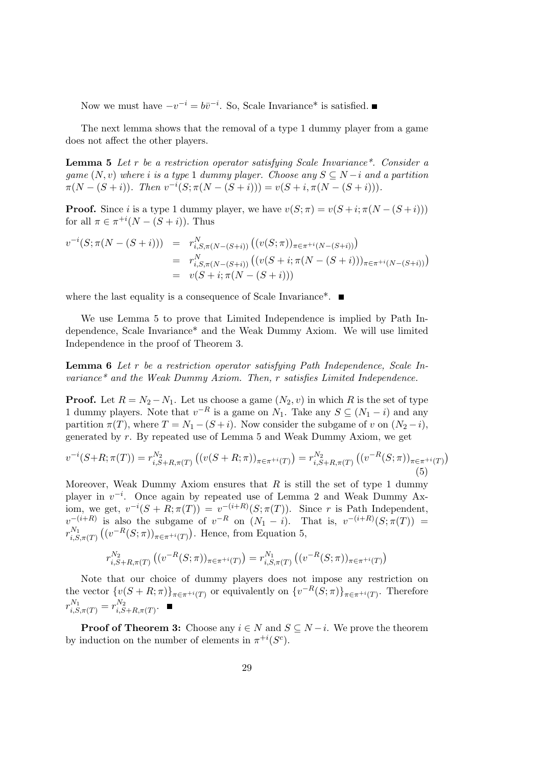Now we must have  $-v^{-i} = b\overline{v}^{-i}$ . So, Scale Invariance<sup>\*</sup> is satisfied.

The next lemma shows that the removal of a type 1 dummy player from a game does not affect the other players.

Lemma 5 Let r be a restriction operator satisfying Scale Invariance\*. Consider a game  $(N, v)$  where i is a type 1 dummy player. Choose any  $S \subseteq N - i$  and a partition  $\pi(N - (S + i))$ . Then  $v^{-i}(S; \pi(N - (S + i))) = v(S + i, \pi(N - (S + i))).$ 

**Proof.** Since i is a type 1 dummy player, we have  $v(S; \pi) = v(S + i; \pi(N - (S + i)))$ for all  $\pi \in \pi^{+i}(N-(S+i))$ . Thus

$$
v^{-i}(S; \pi(N - (S + i))) = r_{i, S, \pi(N - (S + i))}^N ((v(S; \pi))_{\pi \in \pi^{+i}(N - (S + i))})
$$
  
= 
$$
r_{i, S, \pi(N - (S + i))}^N ((v(S + i; \pi(N - (S + i)))_{\pi \in \pi^{+i}(N - (S + i))})
$$
  
= 
$$
v(S + i; \pi(N - (S + i)))
$$

where the last equality is a consequence of Scale Invariance<sup>\*</sup>.

We use Lemma 5 to prove that Limited Independence is implied by Path Independence, Scale Invariance\* and the Weak Dummy Axiom. We will use limited Independence in the proof of Theorem 3.

Lemma 6 Let r be a restriction operator satisfying Path Independence, Scale Invariance\* and the Weak Dummy Axiom. Then, r satisfies Limited Independence.

**Proof.** Let  $R = N_2 - N_1$ . Let us choose a game  $(N_2, v)$  in which R is the set of type 1 dummy players. Note that  $v^{-R}$  is a game on  $N_1$ . Take any  $S \subseteq (N_1 - i)$  and any partition  $\pi(T)$ , where  $T = N_1 - (S + i)$ . Now consider the subgame of v on  $(N_2 - i)$ , generated by r. By repeated use of Lemma 5 and Weak Dummy Axiom, we get

$$
v^{-i}(S+R; \pi(T)) = r_{i, S+R, \pi(T)}^{N_2} \left( (v(S+R; \pi))_{\pi \in \pi^{+i}(T)} \right) = r_{i, S+R, \pi(T)}^{N_2} \left( (v^{-R}(S; \pi))_{\pi \in \pi^{+i}(T)} \right)
$$
\n(5)

Moreover, Weak Dummy Axiom ensures that  $R$  is still the set of type 1 dummy player in  $v^{-i}$ . Once again by repeated use of Lemma 2 and Weak Dummy Axiom, we get,  $v^{-i}(S + R; \pi(T)) = v^{-(i+R)}(S; \pi(T))$ . Since r is Path Independent,  $v^{-(i+R)}$  is also the subgame of  $v^{-R}$  on  $(N_1 - i)$ . That is,  $v^{-(i+R)}(S; \pi(T)) =$  $r_i^{N_1}$  $\binom{N_1}{i,S,\pi(T)} \left( (v^{-R}(S;\pi))_{\pi \in \pi^{+i}(T)} \right)$ . Hence, from Equation 5,

$$
r_{i,S+R,\pi(T)}^{N_2}((v^{-R}(S;\pi))_{\pi \in \pi^{+i}(T)}) = r_{i,S,\pi(T)}^{N_1}((v^{-R}(S;\pi))_{\pi \in \pi^{+i}(T)})
$$

Note that our choice of dummy players does not impose any restriction on the vector  $\{v(S+R;\pi)\}_{\pi \in \pi^{+i}(T)}$  or equivalently on  $\{v^{-R}(S;\pi)\}_{\pi \in \pi^{+i}(T)}$ . Therefore  $r_{i,S,\pi(T)}^{N_1} = r_{i,S}^{N_2}$  $i, S+R, \pi(T)$ .

**Proof of Theorem 3:** Choose any  $i \in N$  and  $S \subseteq N - i$ . We prove the theorem by induction on the number of elements in  $\pi^{+i}(S^c)$ .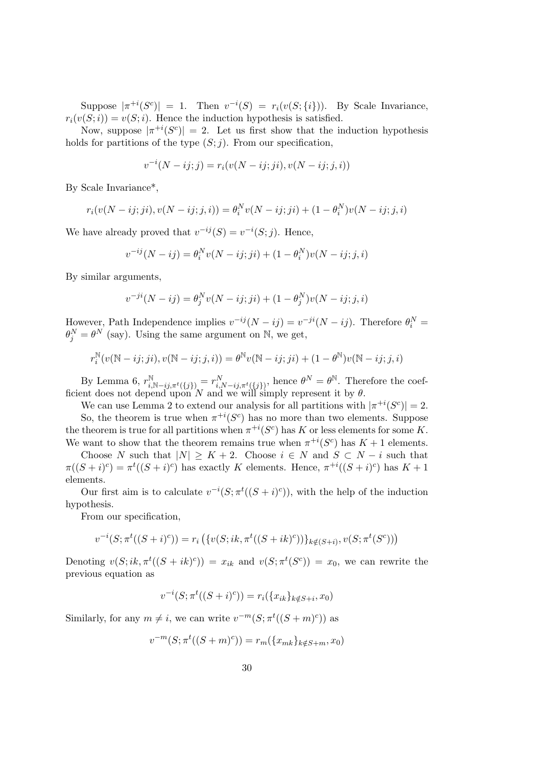Suppose  $|\pi^{+i}(S^c)| = 1$ . Then  $v^{-i}(S) = r_i(v(S; \{i\}))$ . By Scale Invariance,  $r_i(v(S;i)) = v(S;i)$ . Hence the induction hypothesis is satisfied.

Now, suppose  $|\pi^{+i}(S^c)| = 2$ . Let us first show that the induction hypothesis holds for partitions of the type  $(S; j)$ . From our specification,

$$
v^{-i}(N - ij; j) = r_i(v(N - ij; ji), v(N - ij; j, i))
$$

By Scale Invariance\*,

$$
r_i(v(N - ij;ji), v(N - ij; j, i)) = \theta_i^N v(N - ij; ji) + (1 - \theta_i^N)v(N - ij; j, i)
$$

We have already proved that  $v^{-ij}(S) = v^{-i}(S;j)$ . Hence,

$$
v^{-ij}(N - ij) = \theta_i^N v(N - ij; ji) + (1 - \theta_i^N)v(N - ij; j, i)
$$

By similar arguments,

$$
v^{-ji}(N - ij) = \theta_j^N v(N - ij; ji) + (1 - \theta_j^N)v(N - ij; j, i)
$$

However, Path Independence implies  $v^{-ij}(N - ij) = v^{-ji}(N - ij)$ . Therefore  $\theta_i^N =$  $\theta_j^N = \theta^N$  (say). Using the same argument on N, we get,

$$
r_i^{\mathbb{N}}(v(\mathbb{N}-ij;ji),v(\mathbb{N}-ij;j,i)) = \theta^{\mathbb{N}}v(\mathbb{N}-ij;ji) + (1-\theta^{\mathbb{N}})v(\mathbb{N}-ij;j,i)
$$

By Lemma 6,  $r_{i,\mathbb{N}-ij,\pi^t(\lbrace j \rbrace)}^{\mathbb{N}} = r_{i,N-ij,\pi^t(\lbrace j \rbrace)}^N$ , hence  $\theta^N = \theta^{\mathbb{N}}$ . Therefore the coefficient does not depend upon N and we will simply represent it by  $\theta$ .

We can use Lemma 2 to extend our analysis for all partitions with  $|\pi^{+i}(S^c)| = 2$ .

So, the theorem is true when  $\pi^{+i}(S^c)$  has no more than two elements. Suppose the theorem is true for all partitions when  $\pi^{+i}(S^c)$  has K or less elements for some K. We want to show that the theorem remains true when  $\pi^{+i}(S^c)$  has  $K+1$  elements.

Choose N such that  $|N| \geq K + 2$ . Choose  $i \in N$  and  $S \subset N - i$  such that  $\pi((S+i)^c) = \pi^t((S+i)^c)$  has exactly K elements. Hence,  $\pi^{+i}((S+i)^c)$  has  $K+1$ elements.

Our first aim is to calculate  $v^{-i}(S; \pi^t((S + i)^c))$ , with the help of the induction hypothesis.

From our specification,

$$
v^{-i}(S; \pi^t((S+i)^c)) = r_i\left(\{v(S; ik, \pi^t((S+i k)^c))\}_{k \notin (S+i)}, v(S; \pi^t(S^c))\right)
$$

Denoting  $v(S; ik, \pi^t((S + ik)^c)) = x_{ik}$  and  $v(S; \pi^t(S^c)) = x_0$ , we can rewrite the previous equation as

$$
v^{-i}(S; \pi^{t}((S+i)^{c})) = r_{i}(\{x_{ik}\}_{k \notin S+i}, x_{0})
$$

Similarly, for any  $m \neq i$ , we can write  $v^{-m}(S; \pi^t((S+m)^c))$  as

$$
v^{-m}(S; \pi^{t}((S+m)^{c})) = r_{m}(\lbrace x_{mk} \rbrace_{k \notin S+m}, x_{0})
$$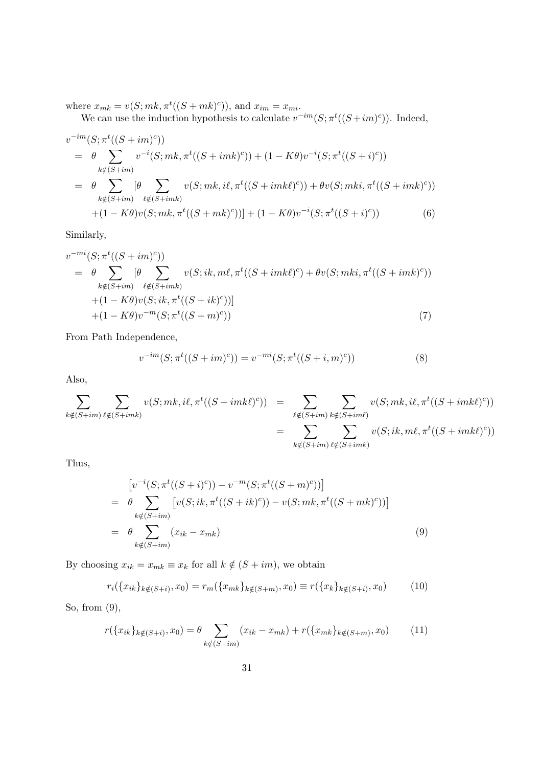where  $x_{mk} = v(S; mk, \pi^t((S+mk)^c))$ , and  $x_{im} = x_{mi}$ .

We can use the induction hypothesis to calculate  $v^{-im}(S; \pi^t((S + im)^c))$ . Indeed,

$$
v^{-im}(S; \pi^{t}((S + im)^{c}))
$$
  
=  $\theta \sum_{k \notin (S + im)} v^{-i}(S; mk, \pi^{t}((S + imk)^{c})) + (1 - K\theta)v^{-i}(S; \pi^{t}((S + i)^{c}))$   
=  $\theta \sum_{k \notin (S + im)} [\theta \sum_{\ell \notin (S + imk)} v(S; mk, i\ell, \pi^{t}((S + imk\ell)^{c})) + \theta v(S; mki, \pi^{t}((S + imk)^{c}))$   
+  $(1 - K\theta)v(S; mk, \pi^{t}((S + mk)^{c})) + (1 - K\theta)v^{-i}(S; \pi^{t}((S + i)^{c}))$  (6)

Similarly,

$$
v^{-mi}(S; \pi^{t}((S + im)^{c}))
$$
  
=  $\theta \sum_{k \notin (S + im)} [\theta \sum_{\ell \notin (S + imk)} v(S; ik, m\ell, \pi^{t}((S + imk\ell)^{c}) + \theta v(S; mki, \pi^{t}((S + imk)^{c}))$   
+  $(1 - K\theta)v(S; ik, \pi^{t}((S + ik)^{c}))]$   
+  $(1 - K\theta)v^{-m}(S; \pi^{t}((S + m)^{c}))$  (7)

From Path Independence,

$$
v^{-im}(S; \pi^{t}((S + im)^{c})) = v^{-mi}(S; \pi^{t}((S + i, m)^{c}))
$$
\n(8)

Also,

$$
\sum_{k \notin (S+im)} \sum_{\ell \notin (S+imk)} v(S; mk, i\ell, \pi^t((S+imk\ell)^c)) = \sum_{\ell \notin (S+im)} \sum_{k \notin (S+im\ell)} v(S; mk, i\ell, \pi^t((S+imk\ell)^c))
$$
  

$$
= \sum_{k \notin (S+im)} \sum_{\ell \notin (S+imk)} v(S; ik, ml, \pi^t((S+imk\ell)^c))
$$

Thus,

$$
\begin{aligned}\n&\left[v^{-i}(S; \pi^t((S+i)^c)) - v^{-m}(S; \pi^t((S+m)^c))\right] \\
&= \theta \sum_{k \notin (S+im)} \left[v(S; ik, \pi^t((S+ik)^c)) - v(S; mk, \pi^t((S+mk)^c))\right] \\
&= \theta \sum_{k \notin (S+im)} (x_{ik} - x_{mk})\n\end{aligned} \tag{9}
$$

By choosing  $x_{ik} = x_{mk} \equiv x_k$  for all  $k \notin (S + im)$ , we obtain

$$
r_i(\{x_{ik}\}_{k \notin (S+i)}, x_0) = r_m(\{x_{mk}\}_{k \notin (S+m)}, x_0) \equiv r(\{x_k\}_{k \notin (S+i)}, x_0)
$$
(10)

So, from (9),

$$
r(\{x_{ik}\}_{k\notin(S+i)}, x_0) = \theta \sum_{k\notin(S+im)} (x_{ik} - x_{mk}) + r(\{x_{mk}\}_{k\notin(S+m)}, x_0)
$$
(11)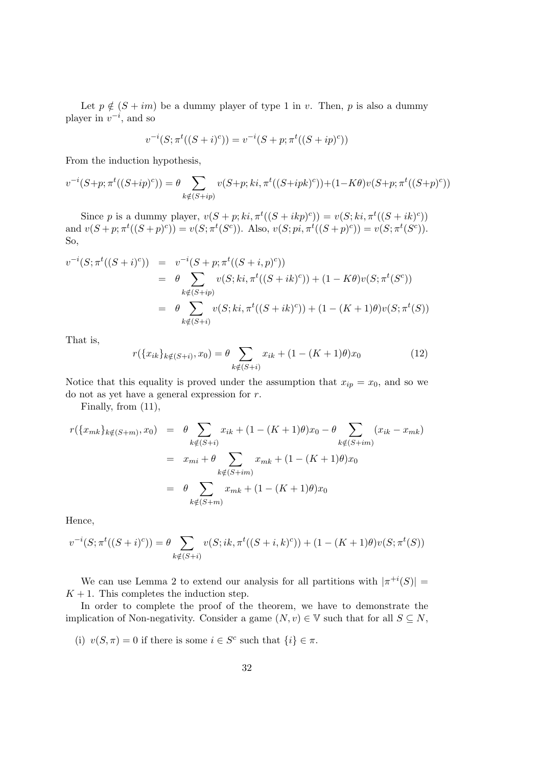Let  $p \notin (S + im)$  be a dummy player of type 1 in v. Then, p is also a dummy player in  $v^{-i}$ , and so

$$
v^{-i}(S; \pi^{t}((S+i)^{c})) = v^{-i}(S+p; \pi^{t}((S+ip)^{c}))
$$

From the induction hypothesis,

$$
v^{-i}(S+p; \pi^{t}((S+ip)^{c})) = \theta \sum_{k \notin (S+ip)} v(S+p; ki, \pi^{t}((S+ipk)^{c})) + (1 - K\theta)v(S+p; \pi^{t}((S+p)^{c}))
$$

Since p is a dummy player,  $v(S + p; ki, \pi^t((S + ikp)^c)) = v(S; ki, \pi^t((S + ik)^c))$ and  $v(S + p; \pi^t((S + p)^c)) = v(S; \pi^t(S^c))$ . Also,  $v(S; pi, \pi^t((S + p)^c)) = v(S; \pi^t(S^c))$ . So,

$$
v^{-i}(S; \pi^t((S+i)^c)) = v^{-i}(S+p; \pi^t((S+i,p)^c))
$$
  
=  $\theta \sum_{k \notin (S+ip)} v(S; ki, \pi^t((S+i k)^c)) + (1 - K\theta)v(S; \pi^t(S^c))$   
=  $\theta \sum_{k \notin (S+i)} v(S; ki, \pi^t((S+i k)^c)) + (1 - (K+1)\theta)v(S; \pi^t(S))$ 

That is,

$$
r(\{x_{ik}\}_{k\notin(S+i)}, x_0) = \theta \sum_{k\notin(S+i)} x_{ik} + (1 - (K+1)\theta)x_0
$$
\n(12)

Notice that this equality is proved under the assumption that  $x_{ip} = x_0$ , and so we do not as yet have a general expression for r.

Finally, from (11),

$$
r(\{x_{mk}\}_{k \notin (S+m)}, x_0) = \theta \sum_{k \notin (S+i)} x_{ik} + (1 - (K+1)\theta)x_0 - \theta \sum_{k \notin (S+im)} (x_{ik} - x_{mk})
$$
  

$$
= x_{mi} + \theta \sum_{k \notin (S+im)} x_{mk} + (1 - (K+1)\theta)x_0
$$
  

$$
= \theta \sum_{k \notin (S+m)} x_{mk} + (1 - (K+1)\theta)x_0
$$

Hence,

$$
v^{-i}(S; \pi^t((S+i)^c)) = \theta \sum_{k \notin (S+i)} v(S; ik, \pi^t((S+i, k)^c)) + (1 - (K+1)\theta)v(S; \pi^t(S))
$$

We can use Lemma 2 to extend our analysis for all partitions with  $|\pi^{+i}(S)| =$  $K + 1$ . This completes the induction step.

In order to complete the proof of the theorem, we have to demonstrate the implication of Non-negativity. Consider a game  $(N, v) \in V$  such that for all  $S \subseteq N$ ,

(i)  $v(S,\pi) = 0$  if there is some  $i \in S^c$  such that  $\{i\} \in \pi$ .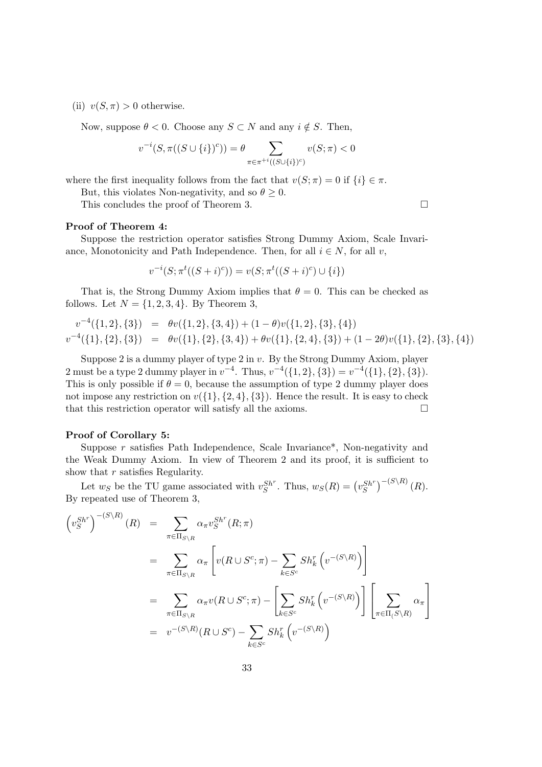(ii)  $v(S,\pi) > 0$  otherwise.

Now, suppose  $\theta < 0$ . Choose any  $S \subset N$  and any  $i \notin S$ . Then,

$$
v^{-i}(S, \pi((S \cup \{i\})^c)) = \theta \sum_{\pi \in \pi^{+i}((S \cup \{i\})^c)} v(S; \pi) < 0
$$

where the first inequality follows from the fact that  $v(S; \pi) = 0$  if  $\{i\} \in \pi$ .

But, this violates Non-negativity, and so  $\theta \geq 0$ .

This concludes the proof of Theorem 3.

#### Proof of Theorem 4:

Suppose the restriction operator satisfies Strong Dummy Axiom, Scale Invariance, Monotonicity and Path Independence. Then, for all  $i \in N$ , for all v,

$$
v^{-i}(S; \pi^t((S+i)^c)) = v(S; \pi^t((S+i)^c) \cup \{i\})
$$

That is, the Strong Dummy Axiom implies that  $\theta = 0$ . This can be checked as follows. Let  $N = \{1, 2, 3, 4\}$ . By Theorem 3,

$$
v^{-4}(\{1,2\},\{3\}) = \theta v(\{1,2\},\{3,4\}) + (1-\theta)v(\{1,2\},\{3\},\{4\})
$$
  

$$
v^{-4}(\{1\},\{2\},\{3\}) = \theta v(\{1\},\{2\},\{3,4\}) + \theta v(\{1\},\{2,4\},\{3\}) + (1-2\theta)v(\{1\},\{2\},\{3\},\{4\})
$$

Suppose 2 is a dummy player of type 2 in v. By the Strong Dummy Axiom, player 2 must be a type 2 dummy player in  $v^{-4}$ . Thus,  $v^{-4}(\{1,2\},\{3\}) = v^{-4}(\{1\},\{2\},\{3\}).$ This is only possible if  $\theta = 0$ , because the assumption of type 2 dummy player does not impose any restriction on  $v({1}, {2, 4}, {3})$ . Hence the result. It is easy to check that this restriction operator will satisfy all the axioms.  $\Box$ 

### Proof of Corollary 5:

Suppose r satisfies Path Independence, Scale Invariance\*, Non-negativity and the Weak Dummy Axiom. In view of Theorem 2 and its proof, it is sufficient to show that  $r$  satisfies Regularity.

Let  $w_S$  be the TU game associated with  $v_S^{Sh^r}$ . Thus,  $w_S(R) = (v_S^{Sh^r})^{-(S \setminus R)}(R)$ . By repeated use of Theorem 3,

$$
\begin{split}\n\left(v_{S}^{Sh^{r}}\right)^{-(S\setminus R)}(R) &= \sum_{\pi\in\Pi_{S\setminus R}} \alpha_{\pi} v_{S}^{Sh^{r}}(R;\pi) \\
&= \sum_{\pi\in\Pi_{S\setminus R}} \alpha_{\pi} \left[v(R\cup S^{c};\pi) - \sum_{k\in S^{c}} Sh_{k}^{r}\left(v^{-(S\setminus R)}\right)\right] \\
&= \sum_{\pi\in\Pi_{S\setminus R}} \alpha_{\pi} v(R\cup S^{c};\pi) - \left[\sum_{k\in S^{c}} Sh_{k}^{r}\left(v^{-(S\setminus R)}\right)\right] \left[\sum_{\pi\in\Pi_{(S\setminus R)}} \alpha_{\pi}\right] \\
&= v^{-(S\setminus R)}(R\cup S^{c}) - \sum_{k\in S^{c}} Sh_{k}^{r}\left(v^{-(S\setminus R)}\right)\n\end{split}
$$